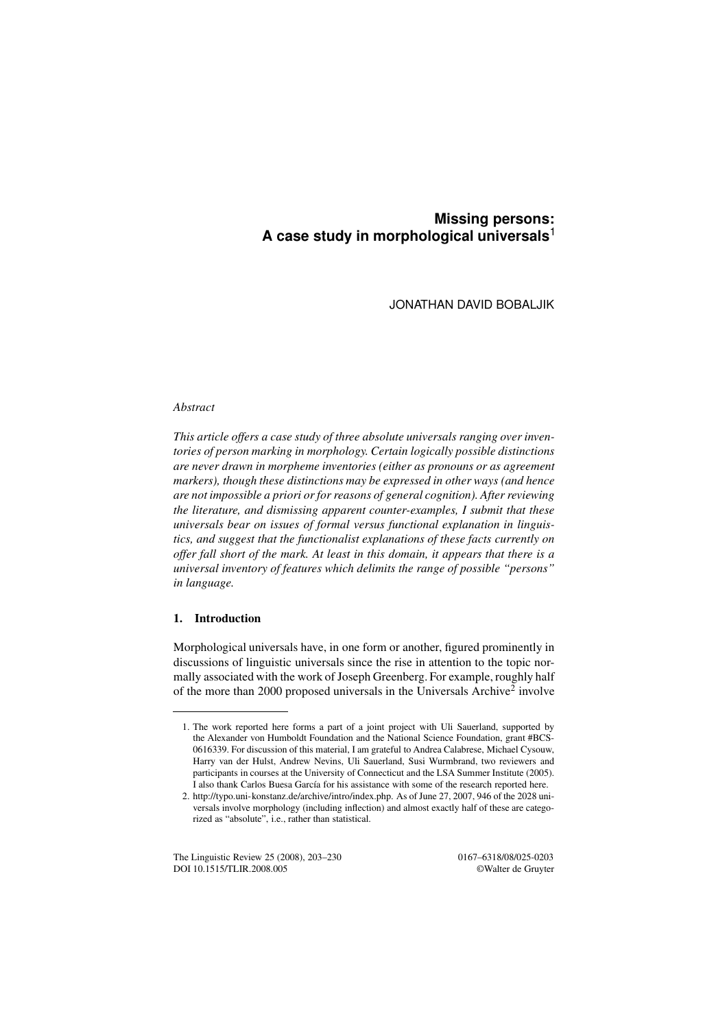# **Missing persons: A case study in morphological universals**<sup>1</sup>

JONATHAN DAVID BOBALJIK

# *Abstract*

*This article offers a case study of three absolute universals ranging over inventories of person marking in morphology. Certain logically possible distinctions are never drawn in morpheme inventories (either as pronouns or as agreement markers), though these distinctions may be expressed in other ways (and hence are not impossible a priori or for reasons of general cognition). After reviewing the literature, and dismissing apparent counter-examples, I submit that these universals bear on issues of formal versus functional explanation in linguistics, and suggest that the functionalist explanations of these facts currently on offer fall short of the mark. At least in this domain, it appears that there is a universal inventory of features which delimits the range of possible "persons" in language.*

# 1. Introduction

Morphological universals have, in one form or another, figured prominently in discussions of linguistic universals since the rise in attention to the topic normally associated with the work of Joseph Greenberg. For example, roughly half of the more than 2000 proposed universals in the Universals Archive<sup>2</sup> involve

The Linguistic Review 25 (2008), 203-230 0167-6318/08/025-0203 DOI 10.1515/TLIR.2008.005 ©Walter de Gruyter

<sup>1.</sup> The work reported here forms a part of a joint project with Uli Sauerland, supported by the Alexander von Humboldt Foundation and the National Science Foundation, grant #BCS-0616339. For discussion of this material, I am grateful to Andrea Calabrese, Michael Cysouw, Harry van der Hulst, Andrew Nevins, Uli Sauerland, Susi Wurmbrand, two reviewers and participants in courses at the University of Connecticut and the LSA Summer Institute (2005). I also thank Carlos Buesa García for his assistance with some of the research reported here.

<sup>2.</sup> http://typo.uni-konstanz.de/archive/intro/index.php. As of June 27, 2007, 946 of the 2028 universals involve morphology (including inflection) and almost exactly half of these are categorized as "absolute", i.e., rather than statistical.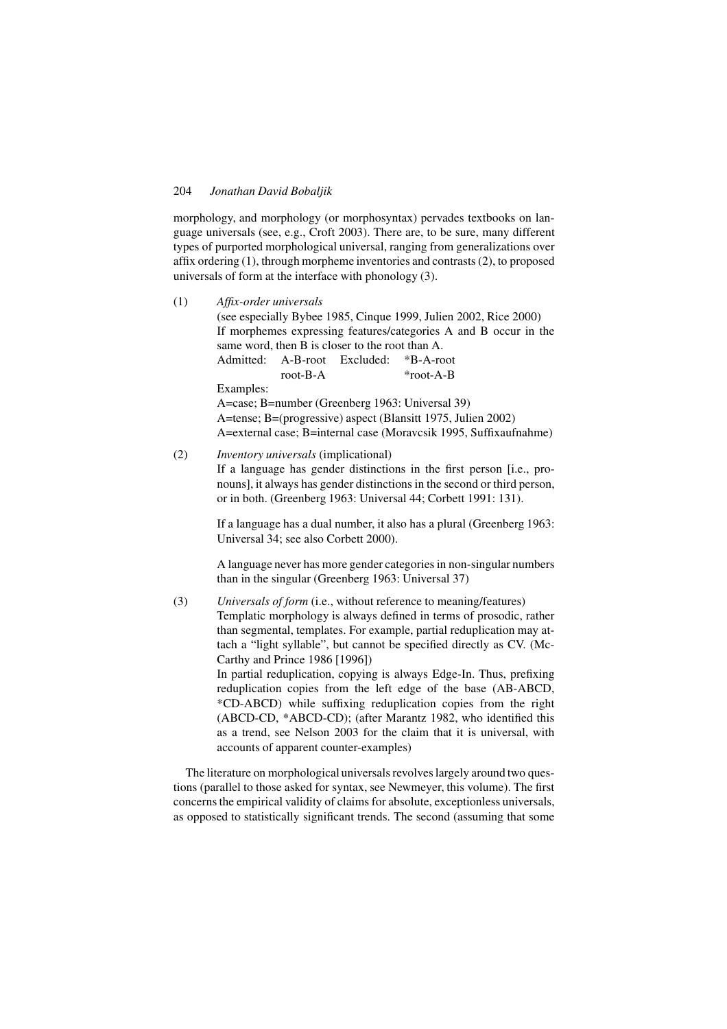morphology, and morphology (or morphosyntax) pervades textbooks on language universals (see, e.g., Croft 2003). There are, to be sure, many different types of purported morphological universal, ranging from generalizations over affix ordering (1), through morpheme inventories and contrasts (2), to proposed universals of form at the interface with phonology (3).

- (1) *Affix-order universals* (see especially Bybee 1985, Cinque 1999, Julien 2002, Rice 2000) If morphemes expressing features/categories A and B occur in the same word, then B is closer to the root than A. Admitted: A-B-root Excluded: \*B-A-root root-B-A \*root-A-B Examples: A=case; B=number (Greenberg 1963: Universal 39) A=tense; B=(progressive) aspect (Blansitt 1975, Julien 2002) A=external case; B=internal case (Moravcsik 1995, Suffixaufnahme)
- (2) *Inventory universals* (implicational)

If a language has gender distinctions in the first person [i.e., pronouns], it always has gender distinctions in the second or third person, or in both. (Greenberg 1963: Universal 44; Corbett 1991: 131).

If a language has a dual number, it also has a plural (Greenberg 1963: Universal 34; see also Corbett 2000).

A language never has more gender categories in non-singular numbers than in the singular (Greenberg 1963: Universal 37)

(3) *Universals of form* (i.e., without reference to meaning/features) Templatic morphology is always defined in terms of prosodic, rather than segmental, templates. For example, partial reduplication may attach a "light syllable", but cannot be specified directly as CV. (Mc-Carthy and Prince 1986 [1996]) In partial reduplication, copying is always Edge-In. Thus, prefixing reduplication copies from the left edge of the base (AB-ABCD, \*CD-ABCD) while suffixing reduplication copies from the right (ABCD-CD, \*ABCD-CD); (after Marantz 1982, who identified this as a trend, see Nelson 2003 for the claim that it is universal, with accounts of apparent counter-examples)

The literature on morphological universals revolves largely around two questions (parallel to those asked for syntax, see Newmeyer, this volume). The first concerns the empirical validity of claims for absolute, exceptionless universals, as opposed to statistically significant trends. The second (assuming that some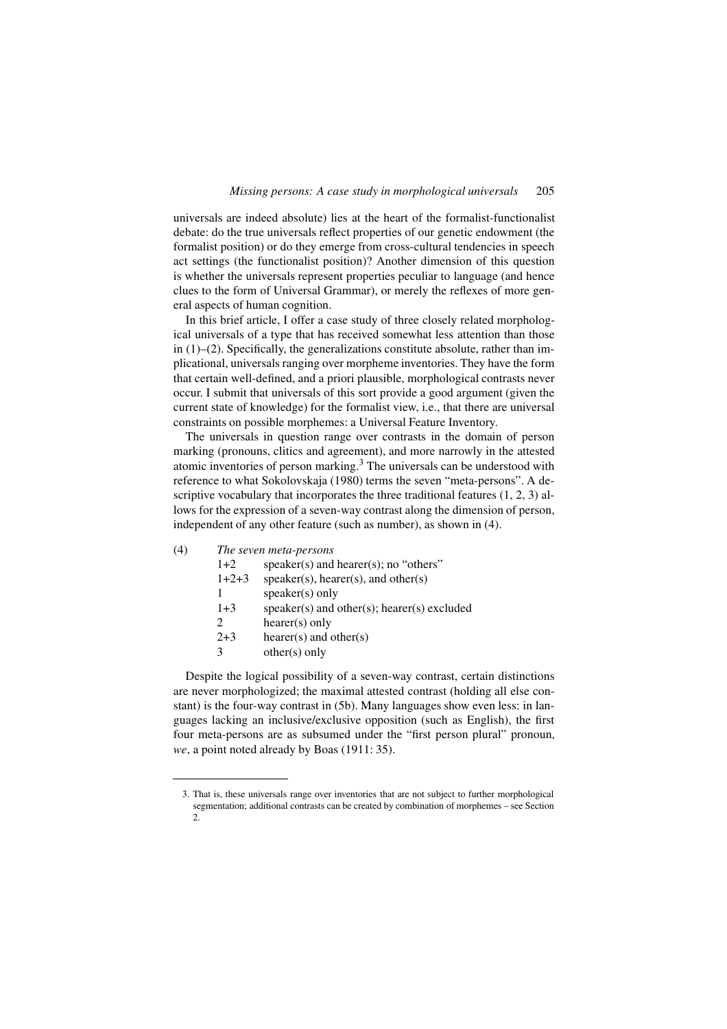universals are indeed absolute) lies at the heart of the formalist-functionalist debate: do the true universals reflect properties of our genetic endowment (the formalist position) or do they emerge from cross-cultural tendencies in speech act settings (the functionalist position)? Another dimension of this question is whether the universals represent properties peculiar to language (and hence clues to the form of Universal Grammar), or merely the reflexes of more general aspects of human cognition.

In this brief article, I offer a case study of three closely related morphological universals of a type that has received somewhat less attention than those in  $(1)$ – $(2)$ . Specifically, the generalizations constitute absolute, rather than implicational, universals ranging over morpheme inventories. They have the form that certain well-defined, and a priori plausible, morphological contrasts never occur. I submit that universals of this sort provide a good argument (given the current state of knowledge) for the formalist view, i.e., that there are universal constraints on possible morphemes: a Universal Feature Inventory.

The universals in question range over contrasts in the domain of person marking (pronouns, clitics and agreement), and more narrowly in the attested atomic inventories of person marking.<sup>3</sup> The universals can be understood with reference to what Sokolovskaja (1980) terms the seven "meta-persons". A descriptive vocabulary that incorporates the three traditional features (1, 2, 3) allows for the expression of a seven-way contrast along the dimension of person, independent of any other feature (such as number), as shown in (4).

# (4) *The seven meta-persons*

| $1+2$                       | speaker(s) and hearer(s); no "others"                |
|-----------------------------|------------------------------------------------------|
| $1+2+3$                     | $speaker(s)$ , hearer(s), and other(s)               |
|                             | $speaker(s)$ only                                    |
| $1 + 3$                     | $speaker(s)$ and other $(s)$ ; hearer $(s)$ excluded |
| $\mathcal{D}_{\mathcal{L}}$ | $hearer(s)$ only                                     |
| $2 + 3$                     | hearer(s) and other(s)                               |
| 3                           | $other(s)$ only                                      |

Despite the logical possibility of a seven-way contrast, certain distinctions are never morphologized; the maximal attested contrast (holding all else constant) is the four-way contrast in (5b). Many languages show even less: in languages lacking an inclusive/exclusive opposition (such as English), the first four meta-persons are as subsumed under the "first person plural" pronoun, *we*, a point noted already by Boas (1911: 35).

<sup>3.</sup> That is, these universals range over inventories that are not subject to further morphological segmentation; additional contrasts can be created by combination of morphemes – see Section  $\mathcal{L}$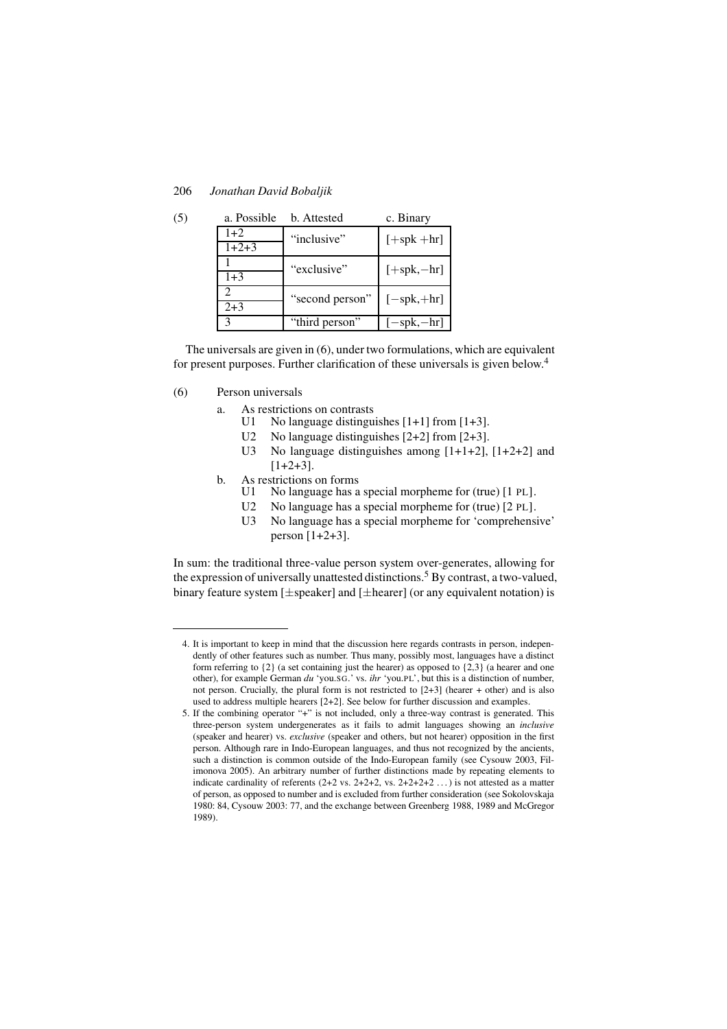| 206 | Jonathan David Bobaljik |  |  |
|-----|-------------------------|--|--|
|-----|-------------------------|--|--|

| (5) | a. Possible                 | b. Attested     | c. Binary                   |  |
|-----|-----------------------------|-----------------|-----------------------------|--|
|     | $1+2$                       | "inclusive"     | $[+spk+hr]$                 |  |
|     | $1+2+3$                     |                 |                             |  |
|     |                             | "exclusive"     | $[+$ spk, $-$ hr]           |  |
|     | $1 + 3$                     |                 |                             |  |
|     | $\mathcal{D}_{\mathcal{A}}$ | "second person" | $[-\text{spk}, +\text{hr}]$ |  |
|     | $2 + 3$                     |                 |                             |  |
|     | 3                           | "third person"  | $-spk,-hr$                  |  |

The universals are given in (6), under two formulations, which are equivalent for present purposes. Further clarification of these universals is given below.<sup>4</sup>

- (6) Person universals
	- a. As restrictions on contrasts<br>U1 No language distingui
		- No language distinguishes  $[1+1]$  from  $[1+3]$ .
		- U2 No language distinguishes [2+2] from [2+3].
		- U3 No language distinguishes among  $[1+1+2]$ ,  $[1+2+2]$  and  $[1+2+3]$ .
	- b. As restrictions on forms
		- U1 No language has a special morpheme for (true) [1 PL].<br>U2 No language has a special morpheme for (true) [2 PL].
		- No language has a special morpheme for (true) [2 PL].
		- U3 No language has a special morpheme for 'comprehensive' person [1+2+3].

In sum: the traditional three-value person system over-generates, allowing for the expression of universally unattested distinctions.<sup>5</sup> By contrast, a two-valued, binary feature system [±speaker] and [±hearer] (or any equivalent notation) is

<sup>4.</sup> It is important to keep in mind that the discussion here regards contrasts in person, independently of other features such as number. Thus many, possibly most, languages have a distinct form referring to {2} (a set containing just the hearer) as opposed to {2,3} (a hearer and one other), for example German *du* 'you.SG.' vs. *ihr* 'you.PL', but this is a distinction of number, not person. Crucially, the plural form is not restricted to  $[2+3]$  (hearer + other) and is also used to address multiple hearers [2+2]. See below for further discussion and examples.

<sup>5.</sup> If the combining operator "+" is not included, only a three-way contrast is generated. This three-person system undergenerates as it fails to admit languages showing an *inclusive* (speaker and hearer) vs. *exclusive* (speaker and others, but not hearer) opposition in the first person. Although rare in Indo-European languages, and thus not recognized by the ancients, such a distinction is common outside of the Indo-European family (see Cysouw 2003, Filimonova 2005). An arbitrary number of further distinctions made by repeating elements to indicate cardinality of referents  $(2+2 \text{ vs. } 2+2+2, \text{ vs. } 2+2+2+2, ...)$  is not attested as a matter of person, as opposed to number and is excluded from further consideration (see Sokolovskaja 1980: 84, Cysouw 2003: 77, and the exchange between Greenberg 1988, 1989 and McGregor 1989).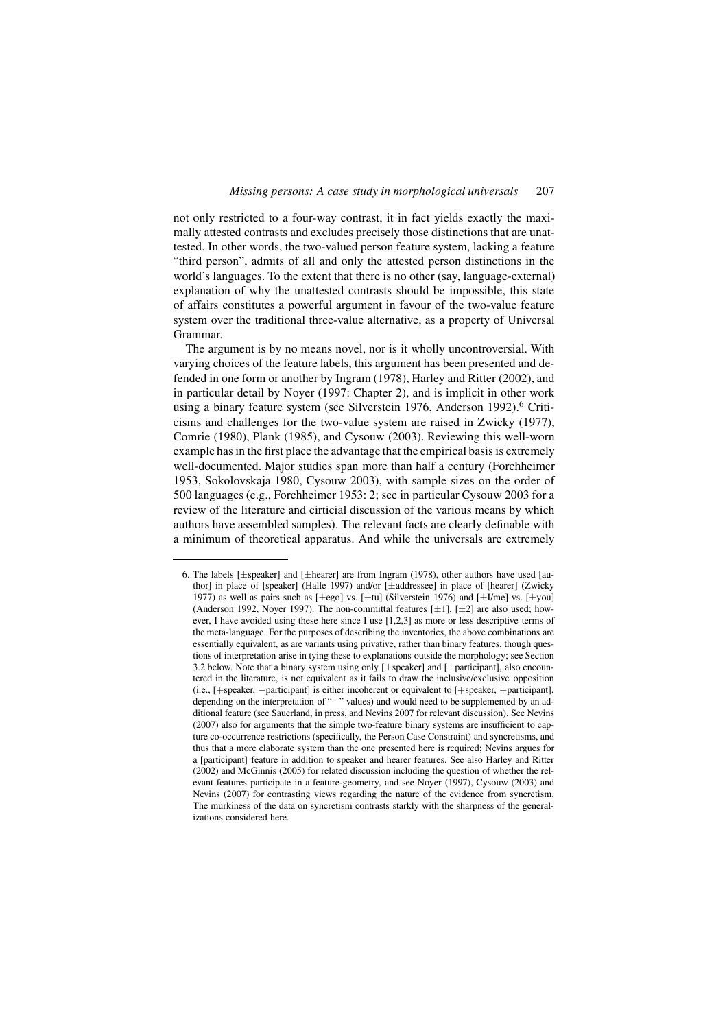not only restricted to a four-way contrast, it in fact yields exactly the maximally attested contrasts and excludes precisely those distinctions that are unattested. In other words, the two-valued person feature system, lacking a feature "third person", admits of all and only the attested person distinctions in the world's languages. To the extent that there is no other (say, language-external) explanation of why the unattested contrasts should be impossible, this state of affairs constitutes a powerful argument in favour of the two-value feature system over the traditional three-value alternative, as a property of Universal Grammar.

The argument is by no means novel, nor is it wholly uncontroversial. With varying choices of the feature labels, this argument has been presented and defended in one form or another by Ingram (1978), Harley and Ritter (2002), and in particular detail by Noyer (1997: Chapter 2), and is implicit in other work using a binary feature system (see Silverstein 1976, Anderson 1992).<sup>6</sup> Criticisms and challenges for the two-value system are raised in Zwicky (1977), Comrie (1980), Plank (1985), and Cysouw (2003). Reviewing this well-worn example has in the first place the advantage that the empirical basis is extremely well-documented. Major studies span more than half a century (Forchheimer 1953, Sokolovskaja 1980, Cysouw 2003), with sample sizes on the order of 500 languages (e.g., Forchheimer 1953: 2; see in particular Cysouw 2003 for a review of the literature and cirticial discussion of the various means by which authors have assembled samples). The relevant facts are clearly definable with a minimum of theoretical apparatus. And while the universals are extremely

<sup>6.</sup> The labels [±speaker] and [±hearer] are from Ingram (1978), other authors have used [author] in place of [speaker] (Halle 1997) and/or [±addressee] in place of [hearer] (Zwicky 1977) as well as pairs such as  $[\pm \text{ego}]$  vs.  $[\pm \text{tu}]$  (Silverstein 1976) and  $[\pm 1/\text{me}]$  vs.  $[\pm \text{you}]$ (Anderson 1992, Noyer 1997). The non-committal features  $[\pm 1]$ ,  $[\pm 2]$  are also used; however, I have avoided using these here since I use [1,2,3] as more or less descriptive terms of the meta-language. For the purposes of describing the inventories, the above combinations are essentially equivalent, as are variants using privative, rather than binary features, though questions of interpretation arise in tying these to explanations outside the morphology; see Section 3.2 below. Note that a binary system using only [±speaker] and [±participant], also encountered in the literature, is not equivalent as it fails to draw the inclusive/exclusive opposition (i.e., [+speaker, −participant] is either incoherent or equivalent to [+speaker, +participant], depending on the interpretation of "−" values) and would need to be supplemented by an additional feature (see Sauerland, in press, and Nevins 2007 for relevant discussion). See Nevins (2007) also for arguments that the simple two-feature binary systems are insufficient to capture co-occurrence restrictions (specifically, the Person Case Constraint) and syncretisms, and thus that a more elaborate system than the one presented here is required; Nevins argues for a [participant] feature in addition to speaker and hearer features. See also Harley and Ritter (2002) and McGinnis (2005) for related discussion including the question of whether the relevant features participate in a feature-geometry, and see Noyer (1997), Cysouw (2003) and Nevins (2007) for contrasting views regarding the nature of the evidence from syncretism. The murkiness of the data on syncretism contrasts starkly with the sharpness of the generalizations considered here.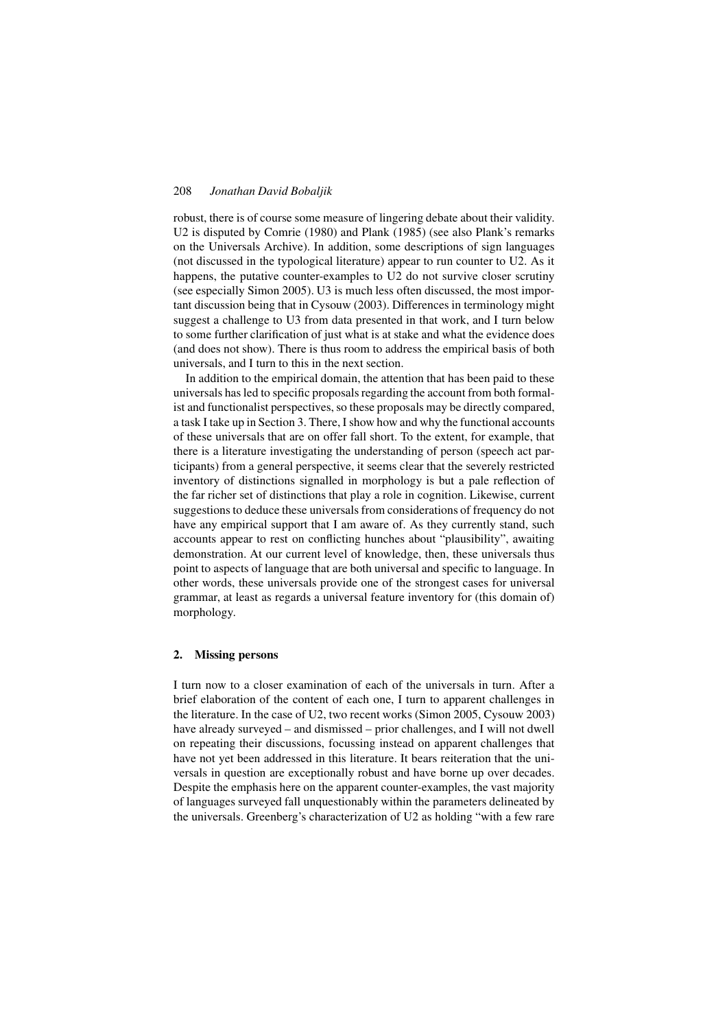robust, there is of course some measure of lingering debate about their validity. U2 is disputed by Comrie (1980) and Plank (1985) (see also Plank's remarks on the Universals Archive). In addition, some descriptions of sign languages (not discussed in the typological literature) appear to run counter to U2. As it happens, the putative counter-examples to U2 do not survive closer scrutiny (see especially Simon 2005). U3 is much less often discussed, the most important discussion being that in Cysouw (2003). Differences in terminology might suggest a challenge to U3 from data presented in that work, and I turn below to some further clarification of just what is at stake and what the evidence does (and does not show). There is thus room to address the empirical basis of both universals, and I turn to this in the next section.

In addition to the empirical domain, the attention that has been paid to these universals has led to specific proposals regarding the account from both formalist and functionalist perspectives, so these proposals may be directly compared, a task I take up in Section 3. There, I show how and why the functional accounts of these universals that are on offer fall short. To the extent, for example, that there is a literature investigating the understanding of person (speech act participants) from a general perspective, it seems clear that the severely restricted inventory of distinctions signalled in morphology is but a pale reflection of the far richer set of distinctions that play a role in cognition. Likewise, current suggestions to deduce these universalsfrom considerations of frequency do not have any empirical support that I am aware of. As they currently stand, such accounts appear to rest on conflicting hunches about "plausibility", awaiting demonstration. At our current level of knowledge, then, these universals thus point to aspects of language that are both universal and specific to language. In other words, these universals provide one of the strongest cases for universal grammar, at least as regards a universal feature inventory for (this domain of) morphology.

# 2. Missing persons

I turn now to a closer examination of each of the universals in turn. After a brief elaboration of the content of each one, I turn to apparent challenges in the literature. In the case of U2, two recent works (Simon 2005, Cysouw 2003) have already surveyed – and dismissed – prior challenges, and I will not dwell on repeating their discussions, focussing instead on apparent challenges that have not yet been addressed in this literature. It bears reiteration that the universals in question are exceptionally robust and have borne up over decades. Despite the emphasis here on the apparent counter-examples, the vast majority of languages surveyed fall unquestionably within the parameters delineated by the universals. Greenberg's characterization of U2 as holding "with a few rare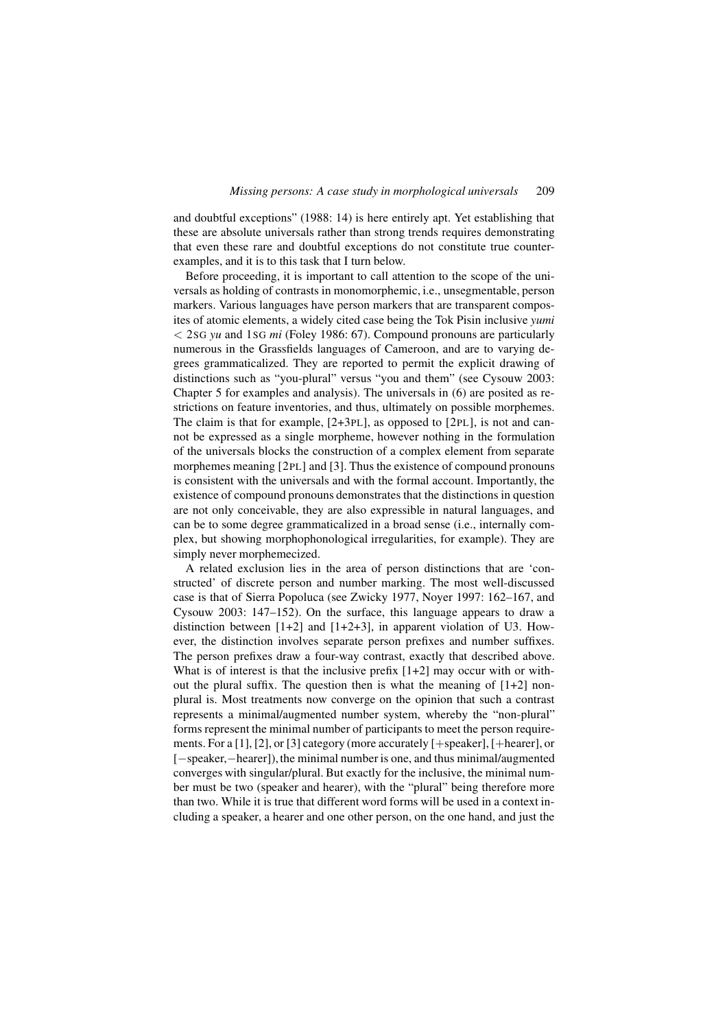and doubtful exceptions" (1988: 14) is here entirely apt. Yet establishing that these are absolute universals rather than strong trends requires demonstrating that even these rare and doubtful exceptions do not constitute true counterexamples, and it is to this task that I turn below.

Before proceeding, it is important to call attention to the scope of the universals as holding of contrasts in monomorphemic, i.e., unsegmentable, person markers. Various languages have person markers that are transparent composites of atomic elements, a widely cited case being the Tok Pisin inclusive *yumi* < 2SG *yu* and 1SG *mi* (Foley 1986: 67). Compound pronouns are particularly numerous in the Grassfields languages of Cameroon, and are to varying degrees grammaticalized. They are reported to permit the explicit drawing of distinctions such as "you-plural" versus "you and them" (see Cysouw 2003: Chapter 5 for examples and analysis). The universals in (6) are posited as restrictions on feature inventories, and thus, ultimately on possible morphemes. The claim is that for example, [2+3PL], as opposed to [2PL], is not and cannot be expressed as a single morpheme, however nothing in the formulation of the universals blocks the construction of a complex element from separate morphemes meaning [2PL] and [3]. Thus the existence of compound pronouns is consistent with the universals and with the formal account. Importantly, the existence of compound pronouns demonstrates that the distinctions in question are not only conceivable, they are also expressible in natural languages, and can be to some degree grammaticalized in a broad sense (i.e., internally complex, but showing morphophonological irregularities, for example). They are simply never morphemecized.

A related exclusion lies in the area of person distinctions that are 'constructed' of discrete person and number marking. The most well-discussed case is that of Sierra Popoluca (see Zwicky 1977, Noyer 1997: 162–167, and Cysouw 2003: 147–152). On the surface, this language appears to draw a distinction between  $[1+2]$  and  $[1+2+3]$ , in apparent violation of U3. However, the distinction involves separate person prefixes and number suffixes. The person prefixes draw a four-way contrast, exactly that described above. What is of interest is that the inclusive prefix  $[1+2]$  may occur with or without the plural suffix. The question then is what the meaning of  $[1+2]$  nonplural is. Most treatments now converge on the opinion that such a contrast represents a minimal/augmented number system, whereby the "non-plural" forms represent the minimal number of participants to meet the person requirements. For a [1], [2], or [3] category (more accurately [+speaker], [+hearer], or [−speaker,−hearer]), the minimal number is one, and thus minimal/augmented converges with singular/plural. But exactly for the inclusive, the minimal number must be two (speaker and hearer), with the "plural" being therefore more than two. While it is true that different word forms will be used in a context including a speaker, a hearer and one other person, on the one hand, and just the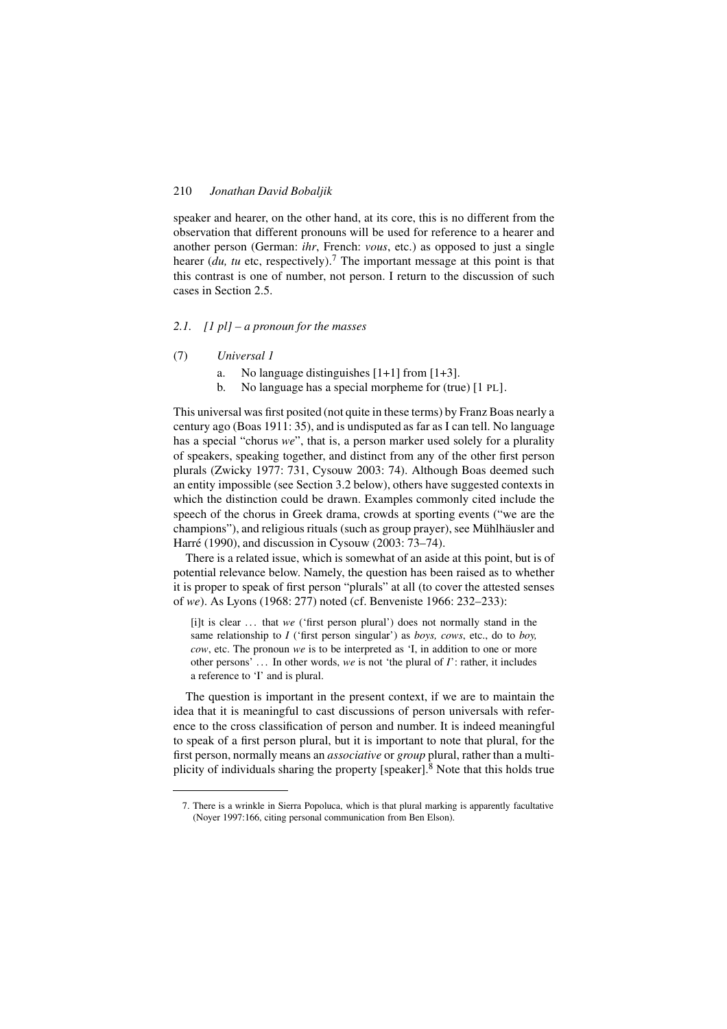speaker and hearer, on the other hand, at its core, this is no different from the observation that different pronouns will be used for reference to a hearer and another person (German: *ihr*, French: *vous*, etc.) as opposed to just a single hearer (*du, tu* etc, respectively).<sup>7</sup> The important message at this point is that this contrast is one of number, not person. I return to the discussion of such cases in Section 2.5.

## *2.1. [1 pl] – a pronoun for the masses*

- (7) *Universal 1*
	- a. No language distinguishes [1+1] from [1+3].
	- b. No language has a special morpheme for (true) [1 PL].

This universal was first posited (not quite in these terms) by Franz Boas nearly a century ago (Boas 1911: 35), and is undisputed as far as I can tell. No language has a special "chorus *we*", that is, a person marker used solely for a plurality of speakers, speaking together, and distinct from any of the other first person plurals (Zwicky 1977: 731, Cysouw 2003: 74). Although Boas deemed such an entity impossible (see Section 3.2 below), others have suggested contexts in which the distinction could be drawn. Examples commonly cited include the speech of the chorus in Greek drama, crowds at sporting events ("we are the champions"), and religious rituals (such as group prayer), see Mühlhäusler and Harré (1990), and discussion in Cysouw (2003: 73–74).

There is a related issue, which is somewhat of an aside at this point, but is of potential relevance below. Namely, the question has been raised as to whether it is proper to speak of first person "plurals" at all (to cover the attested senses of *we*). As Lyons (1968: 277) noted (cf. Benveniste 1966: 232–233):

[i]t is clear . . . that *we* ('first person plural') does not normally stand in the same relationship to *I* ('first person singular') as *boys, cows*, etc., do to *boy, cow*, etc. The pronoun *we* is to be interpreted as 'I, in addition to one or more other persons' . . . In other words, *we* is not 'the plural of *I*': rather, it includes a reference to 'I' and is plural.

The question is important in the present context, if we are to maintain the idea that it is meaningful to cast discussions of person universals with reference to the cross classification of person and number. It is indeed meaningful to speak of a first person plural, but it is important to note that plural, for the first person, normally means an *associative* or *group* plural, rather than a multiplicity of individuals sharing the property [speaker]. $8$  Note that this holds true

<sup>7.</sup> There is a wrinkle in Sierra Popoluca, which is that plural marking is apparently facultative (Noyer 1997:166, citing personal communication from Ben Elson).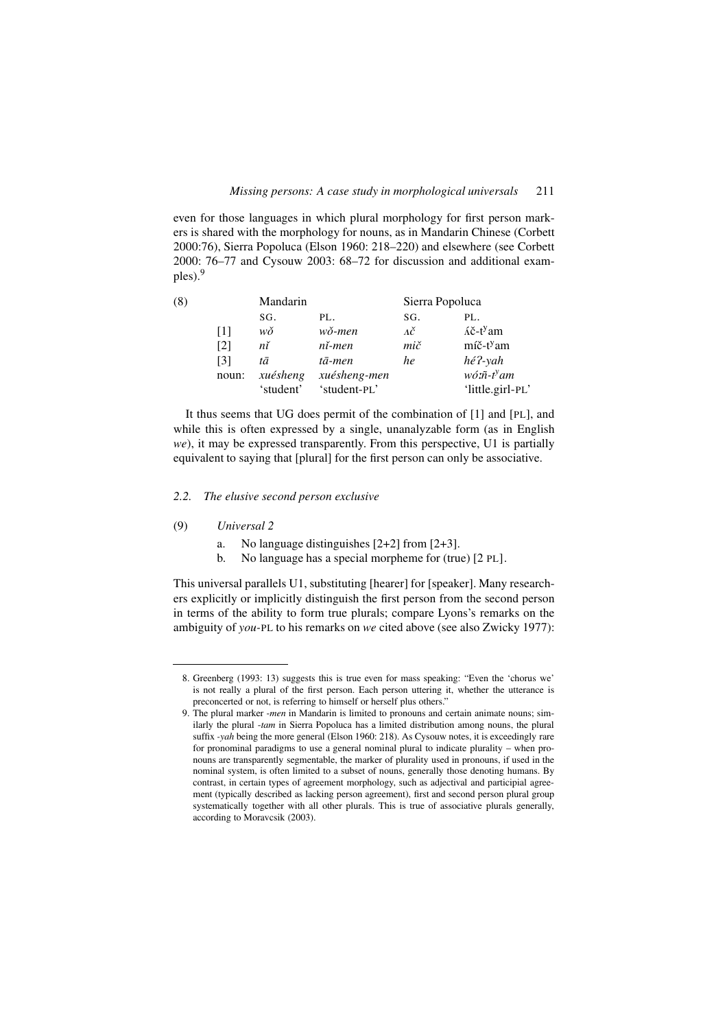even for those languages in which plural morphology for first person markers is shared with the morphology for nouns, as in Mandarin Chinese (Corbett 2000:76), Sierra Popoluca (Elson 1960: 218–220) and elsewhere (see Corbett 2000: 76–77 and Cysouw 2003: 68–72 for discussion and additional examples).<sup>9</sup>

| (8) |                   | Mandarin     |              | Sierra Popoluca |                                 |
|-----|-------------------|--------------|--------------|-----------------|---------------------------------|
|     |                   | SG.          | PL.          | SG.             | PL.                             |
|     | [1]               | wŏ           | wǒ-men       | лč              | $\tilde{A}$ č-t <sup>y</sup> am |
|     | $\lceil 2 \rceil$ | $n\check{i}$ | $ni$ -men    | mič             | $m\tilde{c}$ -t <sup>y</sup> am |
|     | [3]               | tā           | tā-men       | he              | hé?-yah                         |
|     | noun:             | xuésheng     | xuésheng-men |                 | $w$ ó: $\tilde{n}$ -t $y$ am    |
|     |                   | 'student'    | 'student-PL' |                 | 'little.girl-PL'                |

It thus seems that UG does permit of the combination of [1] and [PL], and while this is often expressed by a single, unanalyzable form (as in English *we*), it may be expressed transparently. From this perspective, U1 is partially equivalent to saying that [plural] for the first person can only be associative.

## *2.2. The elusive second person exclusive*

### (9) *Universal 2*

- a. No language distinguishes [2+2] from [2+3].
- b. No language has a special morpheme for (true) [2 PL].

This universal parallels U1, substituting [hearer] for [speaker]. Many researchers explicitly or implicitly distinguish the first person from the second person in terms of the ability to form true plurals; compare Lyons's remarks on the ambiguity of *you-*PL to his remarks on *we* cited above (see also Zwicky 1977):

<sup>8.</sup> Greenberg (1993: 13) suggests this is true even for mass speaking: "Even the 'chorus we' is not really a plural of the first person. Each person uttering it, whether the utterance is preconcerted or not, is referring to himself or herself plus others."

<sup>9.</sup> The plural marker -*men* in Mandarin is limited to pronouns and certain animate nouns; similarly the plural -*tam* in Sierra Popoluca has a limited distribution among nouns, the plural suffix *-yah* being the more general (Elson 1960: 218). As Cysouw notes, it is exceedingly rare for pronominal paradigms to use a general nominal plural to indicate plurality – when pronouns are transparently segmentable, the marker of plurality used in pronouns, if used in the nominal system, is often limited to a subset of nouns, generally those denoting humans. By contrast, in certain types of agreement morphology, such as adjectival and participial agreement (typically described as lacking person agreement), first and second person plural group systematically together with all other plurals. This is true of associative plurals generally, according to Moravcsik (2003).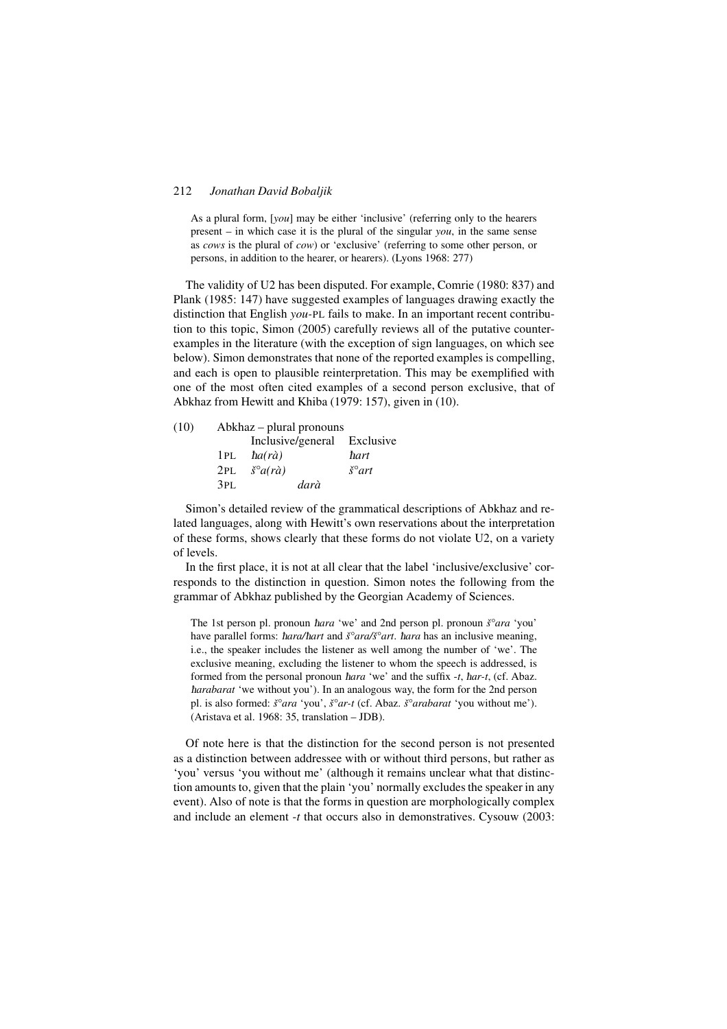As a plural form, [*you*] may be either 'inclusive' (referring only to the hearers present – in which case it is the plural of the singular *you*, in the same sense as *cows* is the plural of *cow*) or 'exclusive' (referring to some other person, or persons, in addition to the hearer, or hearers). (Lyons 1968: 277)

The validity of U2 has been disputed. For example, Comrie (1980: 837) and Plank (1985: 147) have suggested examples of languages drawing exactly the distinction that English *you-*PL fails to make. In an important recent contribution to this topic, Simon (2005) carefully reviews all of the putative counterexamples in the literature (with the exception of sign languages, on which see below). Simon demonstrates that none of the reported examples is compelling, and each is open to plausible reinterpretation. This may be exemplified with one of the most often cited examples of a second person exclusive, that of Abkhaz from Hewitt and Khiba (1979: 157), given in (10).

| (10) | Abkhaz – plural pronouns |                                  |                         |  |
|------|--------------------------|----------------------------------|-------------------------|--|
|      |                          | Inclusive/general Exclusive      |                         |  |
|      | 1PL                      | $\hbar a(r\grave{a})$            | ħart                    |  |
|      | 2PL                      | $\check{s}^{\circ}a(r\grave{a})$ | $\check{s}^{\circ}$ art |  |
|      | 3PL                      | darà                             |                         |  |

Simon's detailed review of the grammatical descriptions of Abkhaz and related languages, along with Hewitt's own reservations about the interpretation of these forms, shows clearly that these forms do not violate U2, on a variety of levels.

In the first place, it is not at all clear that the label 'inclusive/exclusive' corresponds to the distinction in question. Simon notes the following from the grammar of Abkhaz published by the Georgian Academy of Sciences.

The 1st person pl. pronoun è*ara* 'we' and 2nd person pl. pronoun *š°ara* 'you' have parallel forms: *hara/hart* and *š°ara/š°art*. *hara* has an inclusive meaning, i.e., the speaker includes the listener as well among the number of 'we'. The exclusive meaning, excluding the listener to whom the speech is addressed, is formed from the personal pronoun *hara* 'we' and the suffix -*t*, *har-t*, (cf. Abaz.) è*arabarat* 'we without you'). In an analogous way, the form for the 2nd person pl. is also formed: *š°ara* 'you', *š°ar-t* (cf. Abaz. *š°arabarat* 'you without me'). (Aristava et al. 1968: 35, translation – JDB).

Of note here is that the distinction for the second person is not presented as a distinction between addressee with or without third persons, but rather as 'you' versus 'you without me' (although it remains unclear what that distinction amounts to, given that the plain 'you' normally excludes the speaker in any event). Also of note is that the forms in question are morphologically complex and include an element -*t* that occurs also in demonstratives. Cysouw (2003: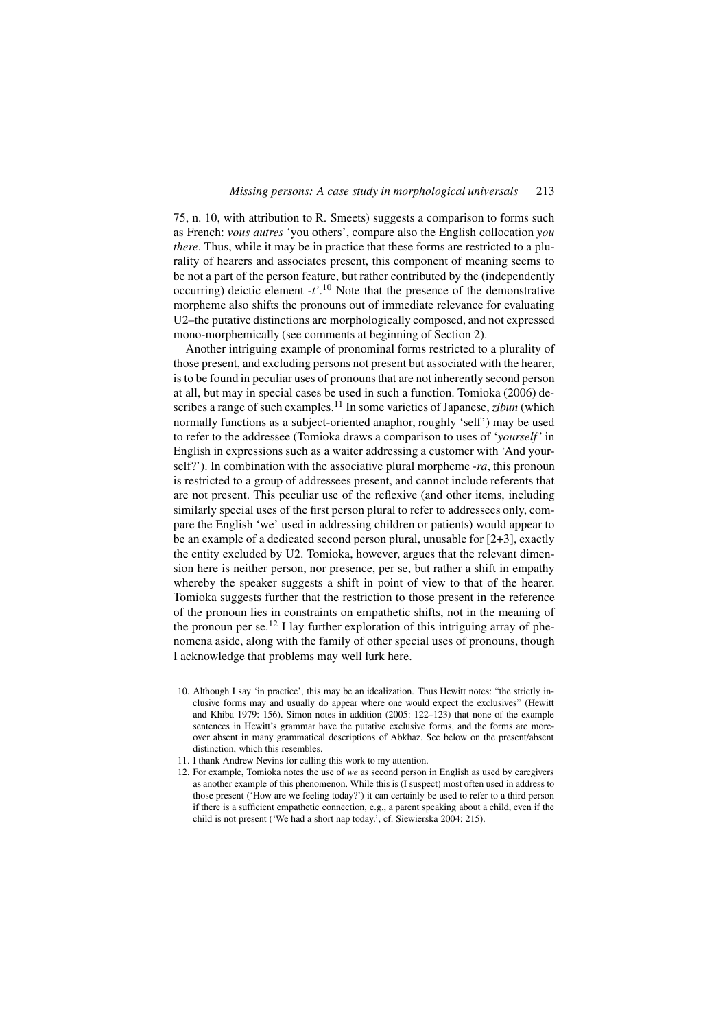#### *Missing persons: A case study in morphological universals* 213

75, n. 10, with attribution to R. Smeets) suggests a comparison to forms such as French: *vous autres* 'you others', compare also the English collocation *you there*. Thus, while it may be in practice that these forms are restricted to a plurality of hearers and associates present, this component of meaning seems to be not a part of the person feature, but rather contributed by the (independently occurring) deictic element -*t'*. <sup>10</sup> Note that the presence of the demonstrative morpheme also shifts the pronouns out of immediate relevance for evaluating U2–the putative distinctions are morphologically composed, and not expressed mono-morphemically (see comments at beginning of Section 2).

Another intriguing example of pronominal forms restricted to a plurality of those present, and excluding persons not present but associated with the hearer, is to be found in peculiar uses of pronouns that are not inherently second person at all, but may in special cases be used in such a function. Tomioka (2006) describes a range of such examples.<sup>11</sup> In some varieties of Japanese,*zibun* (which normally functions as a subject-oriented anaphor, roughly 'self') may be used to refer to the addressee (Tomioka draws a comparison to uses of '*yourself'* in English in expressions such as a waiter addressing a customer with 'And yourself?'). In combination with the associative plural morpheme -*ra*, this pronoun is restricted to a group of addressees present, and cannot include referents that are not present. This peculiar use of the reflexive (and other items, including similarly special uses of the first person plural to refer to addressees only, compare the English 'we' used in addressing children or patients) would appear to be an example of a dedicated second person plural, unusable for [2+3], exactly the entity excluded by U2. Tomioka, however, argues that the relevant dimension here is neither person, nor presence, per se, but rather a shift in empathy whereby the speaker suggests a shift in point of view to that of the hearer. Tomioka suggests further that the restriction to those present in the reference of the pronoun lies in constraints on empathetic shifts, not in the meaning of the pronoun per se.<sup>12</sup> I lay further exploration of this intriguing array of phenomena aside, along with the family of other special uses of pronouns, though I acknowledge that problems may well lurk here.

<sup>10.</sup> Although I say 'in practice', this may be an idealization. Thus Hewitt notes: "the strictly inclusive forms may and usually do appear where one would expect the exclusives" (Hewitt and Khiba 1979: 156). Simon notes in addition (2005: 122–123) that none of the example sentences in Hewitt's grammar have the putative exclusive forms, and the forms are moreover absent in many grammatical descriptions of Abkhaz. See below on the present/absent distinction, which this resembles.

<sup>11.</sup> I thank Andrew Nevins for calling this work to my attention.

<sup>12.</sup> For example, Tomioka notes the use of *we* as second person in English as used by caregivers as another example of this phenomenon. While this is (I suspect) most often used in address to those present ('How are we feeling today?') it can certainly be used to refer to a third person if there is a sufficient empathetic connection, e.g., a parent speaking about a child, even if the child is not present ('We had a short nap today.', cf. Siewierska 2004: 215).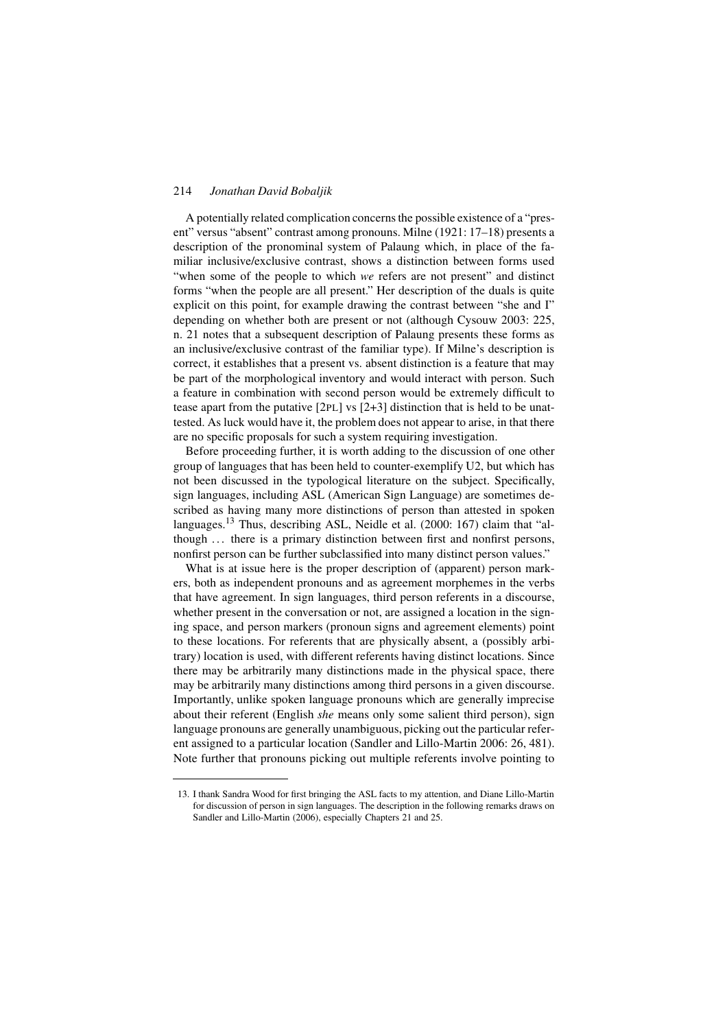A potentially related complication concerns the possible existence of a "present" versus "absent" contrast among pronouns. Milne (1921: 17–18) presents a description of the pronominal system of Palaung which, in place of the familiar inclusive/exclusive contrast, shows a distinction between forms used "when some of the people to which *we* refers are not present" and distinct forms "when the people are all present." Her description of the duals is quite explicit on this point, for example drawing the contrast between "she and I" depending on whether both are present or not (although Cysouw 2003: 225, n. 21 notes that a subsequent description of Palaung presents these forms as an inclusive/exclusive contrast of the familiar type). If Milne's description is correct, it establishes that a present vs. absent distinction is a feature that may be part of the morphological inventory and would interact with person. Such a feature in combination with second person would be extremely difficult to tease apart from the putative [2PL] vs [2+3] distinction that is held to be unattested. As luck would have it, the problem does not appear to arise, in that there are no specific proposals for such a system requiring investigation.

Before proceeding further, it is worth adding to the discussion of one other group of languages that has been held to counter-exemplify U2, but which has not been discussed in the typological literature on the subject. Specifically, sign languages, including ASL (American Sign Language) are sometimes described as having many more distinctions of person than attested in spoken languages.<sup>13</sup> Thus, describing ASL, Neidle et al. (2000: 167) claim that "although ... there is a primary distinction between first and nonfirst persons, nonfirst person can be further subclassified into many distinct person values."

What is at issue here is the proper description of (apparent) person markers, both as independent pronouns and as agreement morphemes in the verbs that have agreement. In sign languages, third person referents in a discourse, whether present in the conversation or not, are assigned a location in the signing space, and person markers (pronoun signs and agreement elements) point to these locations. For referents that are physically absent, a (possibly arbitrary) location is used, with different referents having distinct locations. Since there may be arbitrarily many distinctions made in the physical space, there may be arbitrarily many distinctions among third persons in a given discourse. Importantly, unlike spoken language pronouns which are generally imprecise about their referent (English *she* means only some salient third person), sign language pronouns are generally unambiguous, picking out the particular referent assigned to a particular location (Sandler and Lillo-Martin 2006: 26, 481). Note further that pronouns picking out multiple referents involve pointing to

<sup>13.</sup> I thank Sandra Wood for first bringing the ASL facts to my attention, and Diane Lillo-Martin for discussion of person in sign languages. The description in the following remarks draws on Sandler and Lillo-Martin (2006), especially Chapters 21 and 25.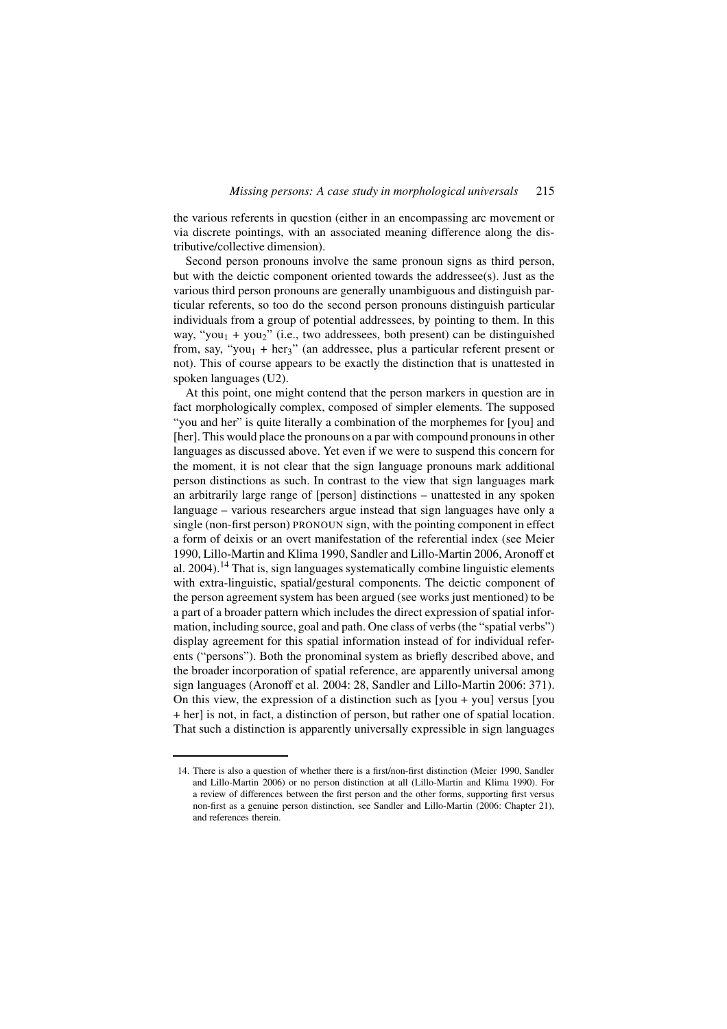the various referents in question (either in an encompassing arc movement or via discrete pointings, with an associated meaning difference along the distributive/collective dimension).

Second person pronouns involve the same pronoun signs as third person, but with the deictic component oriented towards the addressee(s). Just as the various third person pronouns are generally unambiguous and distinguish particular referents, so too do the second person pronouns distinguish particular individuals from a group of potential addressees, by pointing to them. In this way, "you<sub>1</sub> + you<sub>2</sub>" (i.e., two addressees, both present) can be distinguished from, say, "you<sub>1</sub> + her<sub>3</sub>" (an addressee, plus a particular referent present or not). This of course appears to be exactly the distinction that is unattested in spoken languages (U2).

At this point, one might contend that the person markers in question are in fact morphologically complex, composed of simpler elements. The supposed "you and her" is quite literally a combination of the morphemes for [you] and [her]. This would place the pronouns on a par with compound pronouns in other languages as discussed above. Yet even if we were to suspend this concern for the moment, it is not clear that the sign language pronouns mark additional person distinctions as such. In contrast to the view that sign languages mark an arbitrarily large range of [person] distinctions – unattested in any spoken language – various researchers argue instead that sign languages have only a single (non-first person) PRONOUN sign, with the pointing component in effect a form of deixis or an overt manifestation of the referential index (see Meier 1990, Lillo-Martin and Klima 1990, Sandler and Lillo-Martin 2006, Aronoff et al. 2004).<sup>14</sup> That is, sign languages systematically combine linguistic elements with extra-linguistic, spatial/gestural components. The deictic component of the person agreement system has been argued (see works just mentioned) to be a part of a broader pattern which includes the direct expression of spatial information, including source, goal and path. One class of verbs (the "spatial verbs") display agreement for this spatial information instead of for individual referents ("persons"). Both the pronominal system as briefly described above, and the broader incorporation of spatial reference, are apparently universal among sign languages (Aronoff et al. 2004: 28, Sandler and Lillo-Martin 2006: 371). On this view, the expression of a distinction such as  $[you + you]$  versus  $[you]$ + her] is not, in fact, a distinction of person, but rather one of spatial location. That such a distinction is apparently universally expressible in sign languages

<sup>14.</sup> There is also a question of whether there is a first/non-first distinction (Meier 1990, Sandler and Lillo-Martin 2006) or no person distinction at all (Lillo-Martin and Klima 1990). For a review of differences between the first person and the other forms, supporting first versus non-first as a genuine person distinction, see Sandler and Lillo-Martin (2006: Chapter 21), and references therein.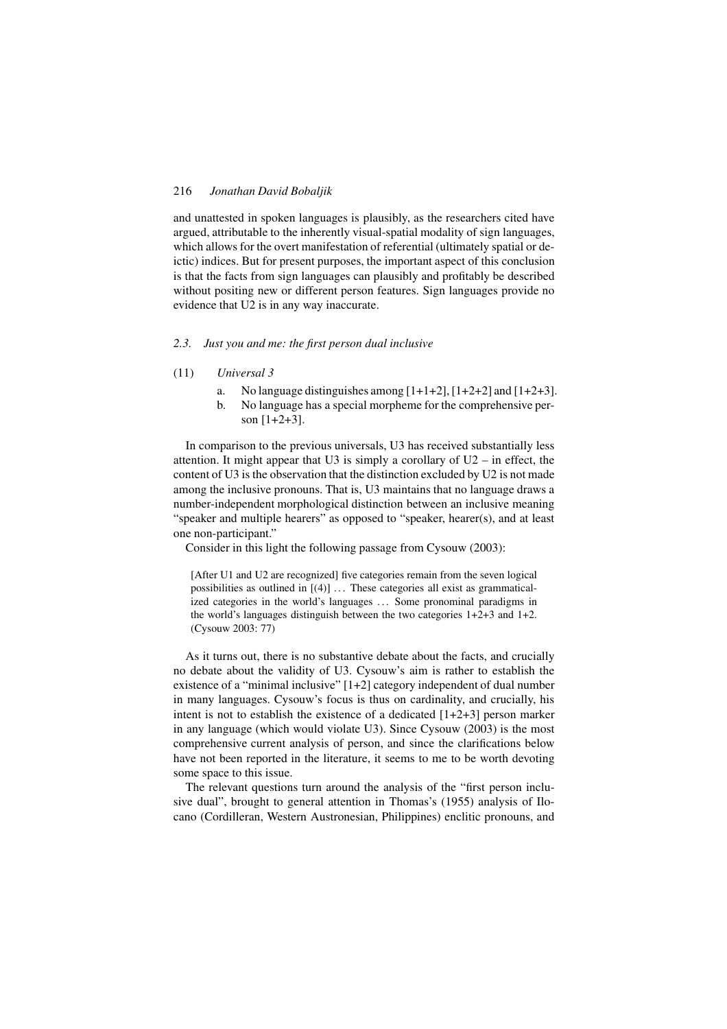and unattested in spoken languages is plausibly, as the researchers cited have argued, attributable to the inherently visual-spatial modality of sign languages, which allows for the overt manifestation of referential (ultimately spatial or deictic) indices. But for present purposes, the important aspect of this conclusion is that the facts from sign languages can plausibly and profitably be described without positing new or different person features. Sign languages provide no evidence that U2 is in any way inaccurate.

### *2.3. Just you and me: the first person dual inclusive*

- (11) *Universal 3*
	- a. No language distinguishes among  $[1+1+2]$ ,  $[1+2+2]$  and  $[1+2+3]$ .
	- b. No language has a special morpheme for the comprehensive person [1+2+3].

In comparison to the previous universals, U3 has received substantially less attention. It might appear that U3 is simply a corollary of  $U2$  – in effect, the content of U3 is the observation that the distinction excluded by U2 is not made among the inclusive pronouns. That is, U3 maintains that no language draws a number-independent morphological distinction between an inclusive meaning "speaker and multiple hearers" as opposed to "speaker, hearer(s), and at least one non-participant."

Consider in this light the following passage from Cysouw (2003):

[After U1 and U2 are recognized] five categories remain from the seven logical possibilities as outlined in  $[(4)]$  ... These categories all exist as grammaticalized categories in the world's languages ... Some pronominal paradigms in the world's languages distinguish between the two categories 1+2+3 and 1+2. (Cysouw 2003: 77)

As it turns out, there is no substantive debate about the facts, and crucially no debate about the validity of U3. Cysouw's aim is rather to establish the existence of a "minimal inclusive" [1+2] category independent of dual number in many languages. Cysouw's focus is thus on cardinality, and crucially, his intent is not to establish the existence of a dedicated  $[1+2+3]$  person marker in any language (which would violate U3). Since Cysouw (2003) is the most comprehensive current analysis of person, and since the clarifications below have not been reported in the literature, it seems to me to be worth devoting some space to this issue.

The relevant questions turn around the analysis of the "first person inclusive dual", brought to general attention in Thomas's (1955) analysis of Ilocano (Cordilleran, Western Austronesian, Philippines) enclitic pronouns, and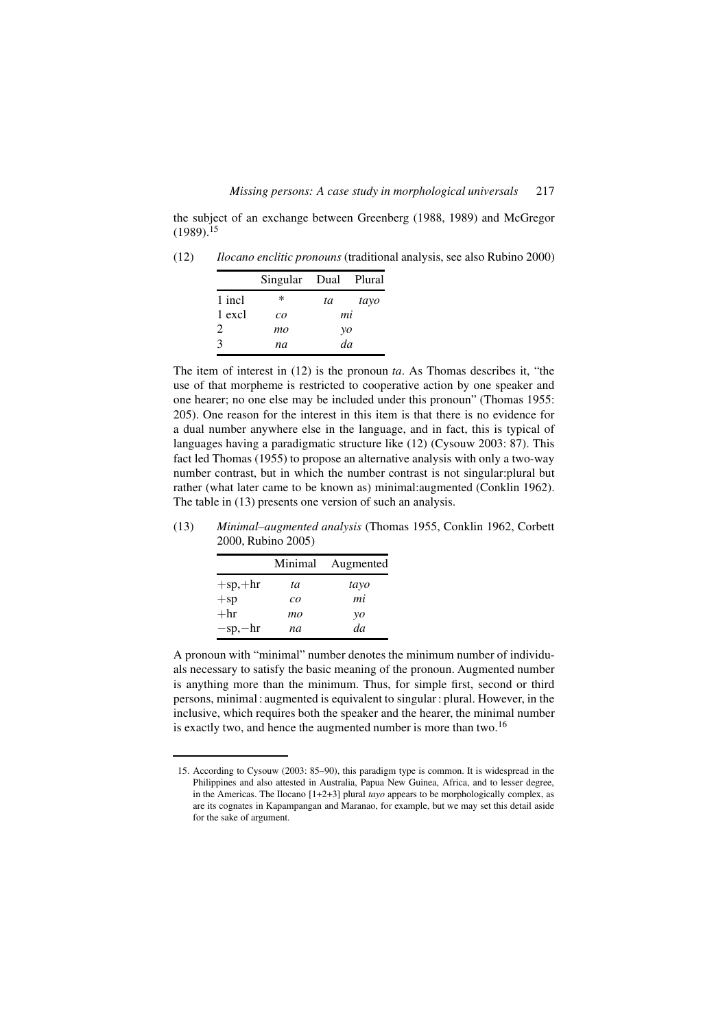the subject of an exchange between Greenberg (1988, 1989) and McGregor  $(1989).^{15}$ 

(12) *Ilocano enclitic pronouns* (traditional analysis, see also Rubino 2000)

|        | Singular Dual Plural |    |      |
|--------|----------------------|----|------|
| 1 incl | ∗                    | ta | tayo |
| 1 excl | $c\overline{o}$      | mi |      |
| 2.     | mo                   | yo |      |
| 3      | na                   | da |      |

The item of interest in (12) is the pronoun *ta*. As Thomas describes it, "the use of that morpheme is restricted to cooperative action by one speaker and one hearer; no one else may be included under this pronoun" (Thomas 1955: 205). One reason for the interest in this item is that there is no evidence for a dual number anywhere else in the language, and in fact, this is typical of languages having a paradigmatic structure like (12) (Cysouw 2003: 87). This fact led Thomas (1955) to propose an alternative analysis with only a two-way number contrast, but in which the number contrast is not singular:plural but rather (what later came to be known as) minimal:augmented (Conklin 1962). The table in (13) presents one version of such an analysis.

(13) *Minimal–augmented analysis* (Thomas 1955, Conklin 1962, Corbett 2000, Rubino 2005)

|                | Minimal         | Augmented |
|----------------|-----------------|-----------|
| $+$ sp, $+$ hr | tа              | tayo      |
| $+sp$          | $c\overline{o}$ | mi        |
| $+hr$          | mo              | yo        |
| $-sp,-hr$      | na              | da        |

A pronoun with "minimal" number denotes the minimum number of individuals necessary to satisfy the basic meaning of the pronoun. Augmented number is anything more than the minimum. Thus, for simple first, second or third persons, minimal : augmented is equivalent to singular : plural. However, in the inclusive, which requires both the speaker and the hearer, the minimal number is exactly two, and hence the augmented number is more than two.<sup>16</sup>

<sup>15.</sup> According to Cysouw (2003: 85–90), this paradigm type is common. It is widespread in the Philippines and also attested in Australia, Papua New Guinea, Africa, and to lesser degree, in the Americas. The Ilocano [1+2+3] plural *tayo* appears to be morphologically complex, as are its cognates in Kapampangan and Maranao, for example, but we may set this detail aside for the sake of argument.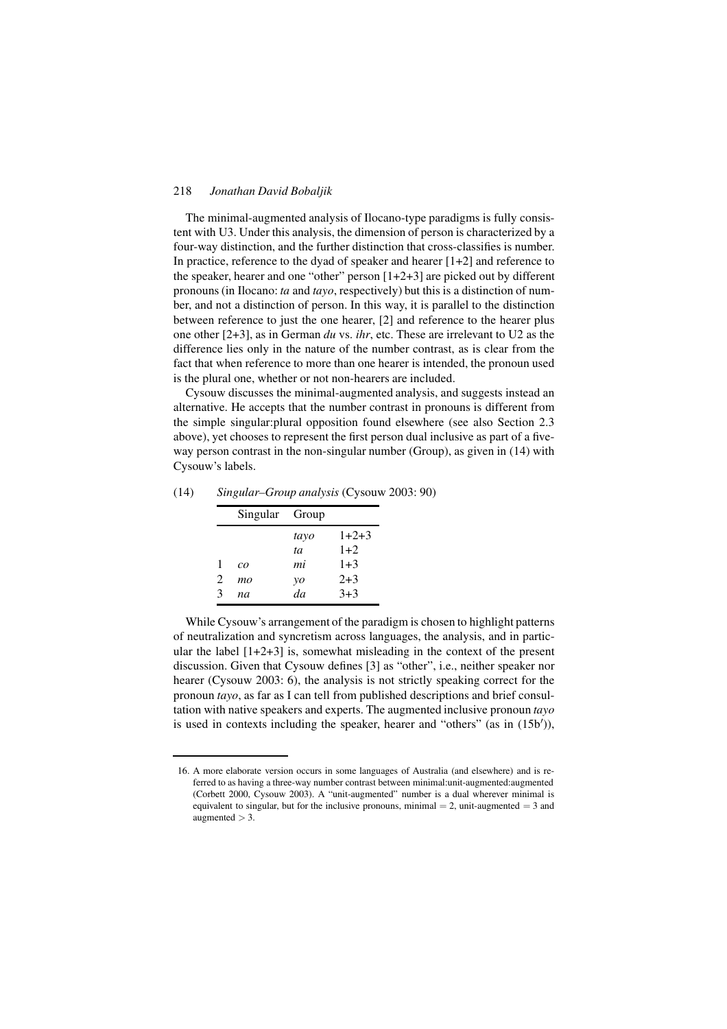The minimal-augmented analysis of Ilocano-type paradigms is fully consistent with U3. Under this analysis, the dimension of person is characterized by a four-way distinction, and the further distinction that cross-classifies is number. In practice, reference to the dyad of speaker and hearer [1+2] and reference to the speaker, hearer and one "other" person [1+2+3] are picked out by different pronouns (in Ilocano: *ta* and *tayo*, respectively) but this is a distinction of number, and not a distinction of person. In this way, it is parallel to the distinction between reference to just the one hearer, [2] and reference to the hearer plus one other [2+3], as in German *du* vs. *ihr*, etc. These are irrelevant to U2 as the difference lies only in the nature of the number contrast, as is clear from the fact that when reference to more than one hearer is intended, the pronoun used is the plural one, whether or not non-hearers are included.

Cysouw discusses the minimal-augmented analysis, and suggests instead an alternative. He accepts that the number contrast in pronouns is different from the simple singular:plural opposition found elsewhere (see also Section 2.3 above), yet chooses to represent the first person dual inclusive as part of a fiveway person contrast in the non-singular number (Group), as given in (14) with Cysouw's labels.

|   | Singular Group  |      |         |
|---|-----------------|------|---------|
|   |                 | tayo | $1+2+3$ |
|   |                 | ta   | $1+2$   |
| 1 | $c\overline{o}$ | mi   | $1+3$   |
| 2 | mo              | yo   | $2 + 3$ |
| 3 | na              | da   | $3+3$   |

(14) *Singular–Group analysis* (Cysouw 2003: 90)

While Cysouw's arrangement of the paradigm is chosen to highlight patterns of neutralization and syncretism across languages, the analysis, and in particular the label [1+2+3] is, somewhat misleading in the context of the present discussion. Given that Cysouw defines [3] as "other", i.e., neither speaker nor hearer (Cysouw 2003: 6), the analysis is not strictly speaking correct for the pronoun *tayo*, as far as I can tell from published descriptions and brief consultation with native speakers and experts. The augmented inclusive pronoun *tayo* is used in contexts including the speaker, hearer and "others" (as in  $(15b')$ ),

<sup>16.</sup> A more elaborate version occurs in some languages of Australia (and elsewhere) and is referred to as having a three-way number contrast between minimal:unit-augmented:augmented (Corbett 2000, Cysouw 2003). A "unit-augmented" number is a dual wherever minimal is equivalent to singular, but for the inclusive pronouns, minimal  $= 2$ , unit-augmented  $= 3$  and augmented  $>$  3.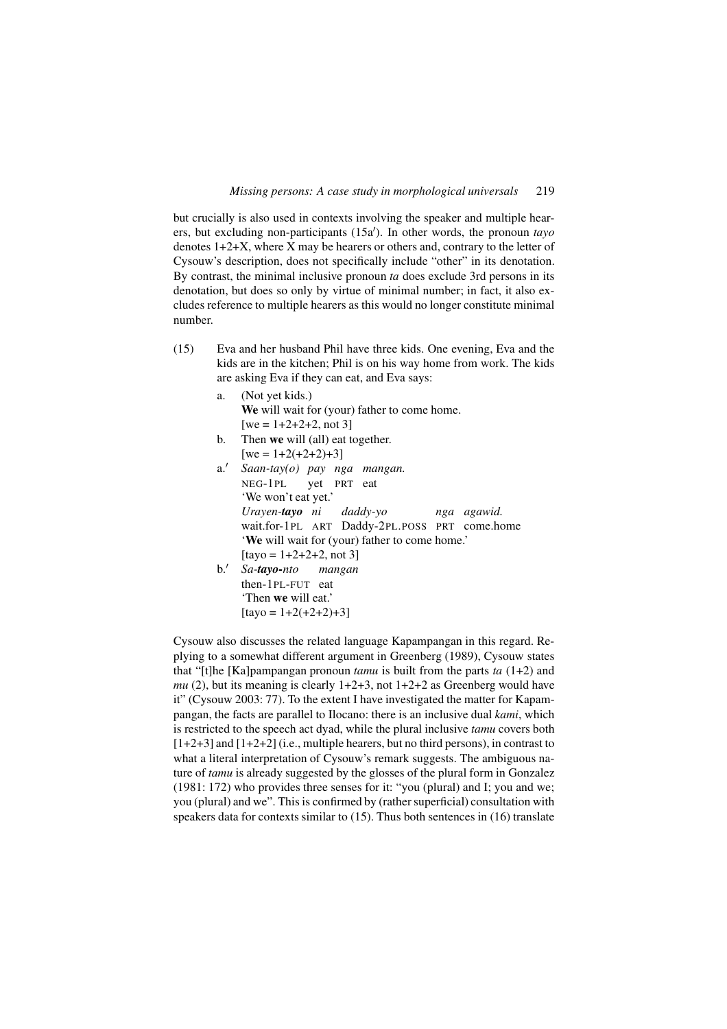but crucially is also used in contexts involving the speaker and multiple hearers, but excluding non-participants (15a<sup>'</sup>). In other words, the pronoun *tayo* denotes 1+2+X, where X may be hearers or others and, contrary to the letter of Cysouw's description, does not specifically include "other" in its denotation. By contrast, the minimal inclusive pronoun *ta* does exclude 3rd persons in its denotation, but does so only by virtue of minimal number; in fact, it also excludes reference to multiple hearers as this would no longer constitute minimal number.

- (15) Eva and her husband Phil have three kids. One evening, Eva and the kids are in the kitchen; Phil is on his way home from work. The kids are asking Eva if they can eat, and Eva says:
	- a. (Not yet kids.) We will wait for (your) father to come home.  $[we = 1+2+2+2, not 3]$ b. Then we will (all) eat together.  $[we = 1+2(+2+2)+3]$ a.' Saan-tay(o) pay nga mangan. NEG-1PL yet PRT eat 'We won't eat yet.' *Urayen-tayo ni* wait.for-1PL ART Daddy-2PL.POSS PRT come.home *daddy-yo nga agawid.* 'We will wait for (your) father to come home.'  $[$ tayo = 1+2+2+2, not 3] b.- *Sa-tayo-nto mangan*
		- then-1PL-FUT eat 'Then we will eat.'  $\lceil \text{tayo} = 1 + 2 + 2 + 2 + 3 \rceil$

Cysouw also discusses the related language Kapampangan in this regard. Replying to a somewhat different argument in Greenberg (1989), Cysouw states that "[t]he [Ka]pampangan pronoun *tamu* is built from the parts *ta* (1+2) and *mu* (2), but its meaning is clearly  $1+2+3$ , not  $1+2+2$  as Greenberg would have it" (Cysouw 2003: 77). To the extent I have investigated the matter for Kapampangan, the facts are parallel to Ilocano: there is an inclusive dual *kami*, which is restricted to the speech act dyad, while the plural inclusive *tamu* covers both  $[1+2+3]$  and  $[1+2+2]$  (i.e., multiple hearers, but no third persons), in contrast to what a literal interpretation of Cysouw's remark suggests. The ambiguous nature of *tamu* is already suggested by the glosses of the plural form in Gonzalez (1981: 172) who provides three senses for it: "you (plural) and I; you and we; you (plural) and we". This is confirmed by (rather superficial) consultation with speakers data for contexts similar to (15). Thus both sentences in (16) translate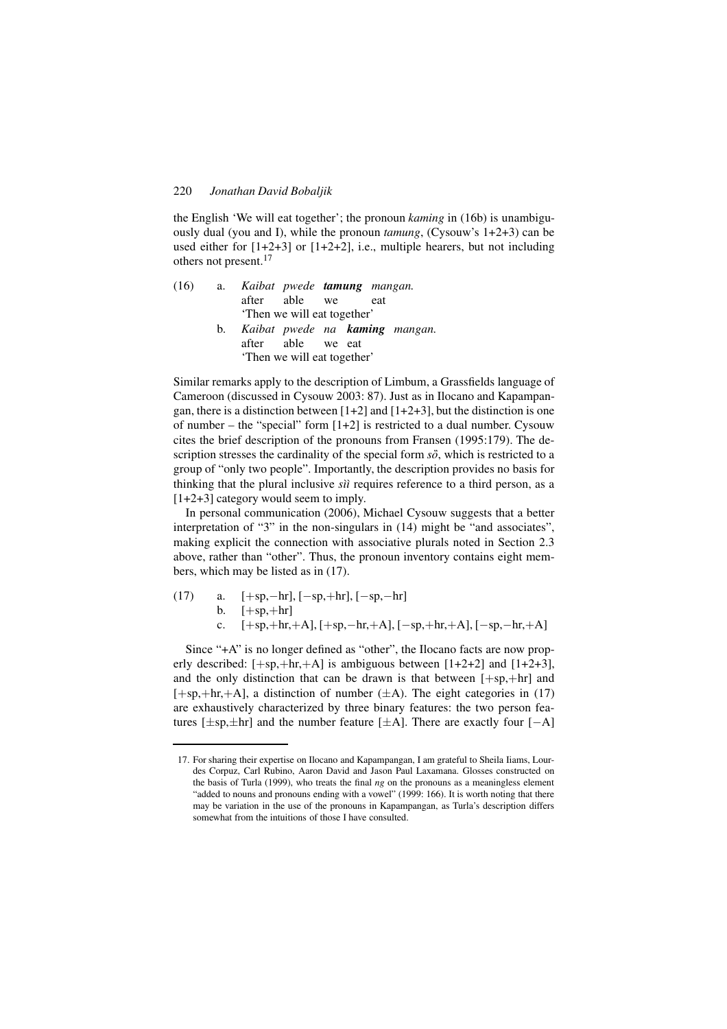the English 'We will eat together'; the pronoun *kaming* in (16b) is unambiguously dual (you and I), while the pronoun *tamung*, (Cysouw's 1+2+3) can be used either for [1+2+3] or [1+2+2], i.e., multiple hearers, but not including others not present.<sup>17</sup>

| (16) | a. Kaibat pwede <b>tamung</b> mangan. |                             |  |     |                                   |
|------|---------------------------------------|-----------------------------|--|-----|-----------------------------------|
|      |                                       | after able we               |  | eat |                                   |
|      |                                       | 'Then we will eat together' |  |     |                                   |
|      |                                       |                             |  |     | b. Kaibat pwede na kaming mangan. |
|      |                                       | after able we eat           |  |     |                                   |
|      |                                       | 'Then we will eat together' |  |     |                                   |

Similar remarks apply to the description of Limbum, a Grassfields language of Cameroon (discussed in Cysouw 2003: 87). Just as in Ilocano and Kapampangan, there is a distinction between  $[1+2]$  and  $[1+2+3]$ , but the distinction is one of number – the "special" form  $[1+2]$  is restricted to a dual number. Cysouw cites the brief description of the pronouns from Fransen (1995:179). The description stresses the cardinality of the special form *so*', which is restricted to a group of "only two people". Importantly, the description provides no basis for thinking that the plural inclusive *sìì* requires reference to a third person, as a [1+2+3] category would seem to imply.

In personal communication (2006), Michael Cysouw suggests that a better interpretation of "3" in the non-singulars in (14) might be "and associates", making explicit the connection with associative plurals noted in Section 2.3 above, rather than "other". Thus, the pronoun inventory contains eight members, which may be listed as in (17).

(17) a. 
$$
[+sp,-hr], [-sp,+hr], [-sp,-hr]
$$
  
b.  $[+sp,+hr]$   
c.  $[+sp,+hr,+A], [+sp,-hr,+A], [-sp,+hr,+A], [-sp,-hr,+A]$ 

Since "+A" is no longer defined as "other", the Ilocano facts are now properly described:  $[+sp, +hr, +A]$  is ambiguous between  $[1+2+2]$  and  $[1+2+3]$ , and the only distinction that can be drawn is that between  $[+sp,+hr]$  and  $[+sp, +hr, +A]$ , a distinction of number  $(\pm A)$ . The eight categories in (17) are exhaustively characterized by three binary features: the two person features [ $\pm$ sp, $\pm$ hr] and the number feature [ $\pm$ A]. There are exactly four [ $-A$ ]

<sup>17.</sup> For sharing their expertise on Ilocano and Kapampangan, I am grateful to Sheila Iiams, Lourdes Corpuz, Carl Rubino, Aaron David and Jason Paul Laxamana. Glosses constructed on the basis of Turla (1999), who treats the final *ng* on the pronouns as a meaningless element "added to nouns and pronouns ending with a vowel" (1999: 166). It is worth noting that there may be variation in the use of the pronouns in Kapampangan, as Turla's description differs somewhat from the intuitions of those I have consulted.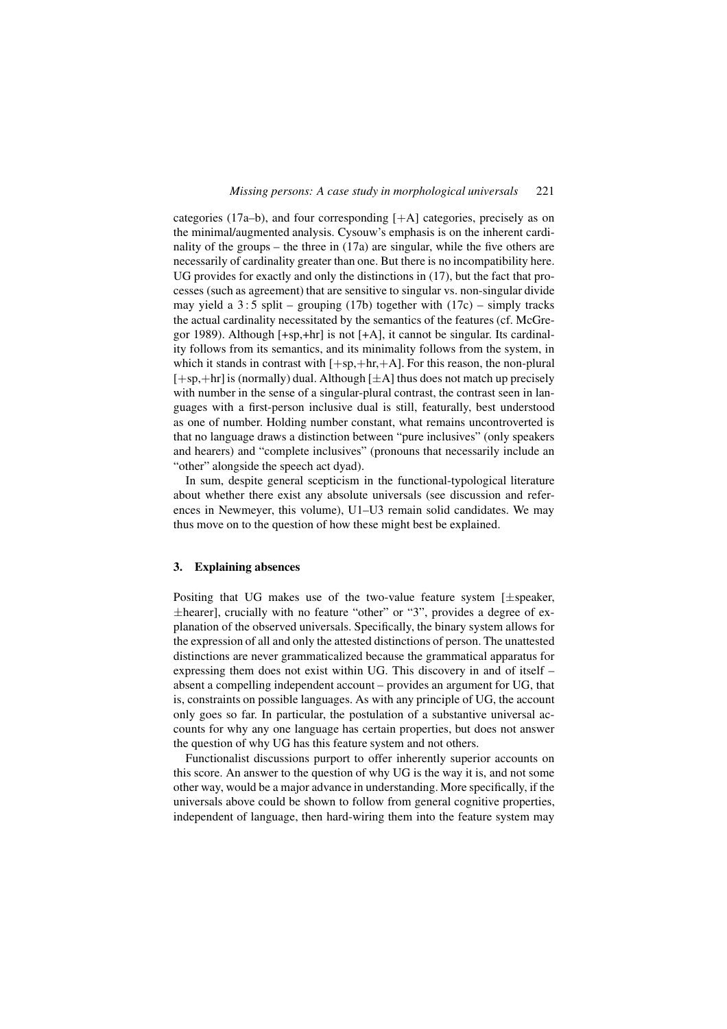categories (17a–b), and four corresponding [+A] categories, precisely as on the minimal/augmented analysis. Cysouw's emphasis is on the inherent cardinality of the groups – the three in (17a) are singular, while the five others are necessarily of cardinality greater than one. But there is no incompatibility here. UG provides for exactly and only the distinctions in (17), but the fact that processes (such as agreement) that are sensitive to singular vs. non-singular divide may yield a  $3:5$  split – grouping (17b) together with (17c) – simply tracks the actual cardinality necessitated by the semantics of the features (cf. McGregor 1989). Although [+sp,+hr] is not [+A], it cannot be singular. Its cardinality follows from its semantics, and its minimality follows from the system, in which it stands in contrast with  $[+sp,+hr,+A]$ . For this reason, the non-plural  $[+sp,+hr]$  is (normally) dual. Although  $[\pm A]$  thus does not match up precisely with number in the sense of a singular-plural contrast, the contrast seen in languages with a first-person inclusive dual is still, featurally, best understood as one of number. Holding number constant, what remains uncontroverted is that no language draws a distinction between "pure inclusives" (only speakers and hearers) and "complete inclusives" (pronouns that necessarily include an "other" alongside the speech act dyad).

In sum, despite general scepticism in the functional-typological literature about whether there exist any absolute universals (see discussion and references in Newmeyer, this volume), U1–U3 remain solid candidates. We may thus move on to the question of how these might best be explained.

# 3. Explaining absences

Positing that UG makes use of the two-value feature system [±speaker, ±hearer], crucially with no feature "other" or "3", provides a degree of explanation of the observed universals. Specifically, the binary system allows for the expression of all and only the attested distinctions of person. The unattested distinctions are never grammaticalized because the grammatical apparatus for expressing them does not exist within UG. This discovery in and of itself – absent a compelling independent account – provides an argument for UG, that is, constraints on possible languages. As with any principle of UG, the account only goes so far. In particular, the postulation of a substantive universal accounts for why any one language has certain properties, but does not answer the question of why UG has this feature system and not others.

Functionalist discussions purport to offer inherently superior accounts on this score. An answer to the question of why UG is the way it is, and not some other way, would be a major advance in understanding. More specifically, if the universals above could be shown to follow from general cognitive properties, independent of language, then hard-wiring them into the feature system may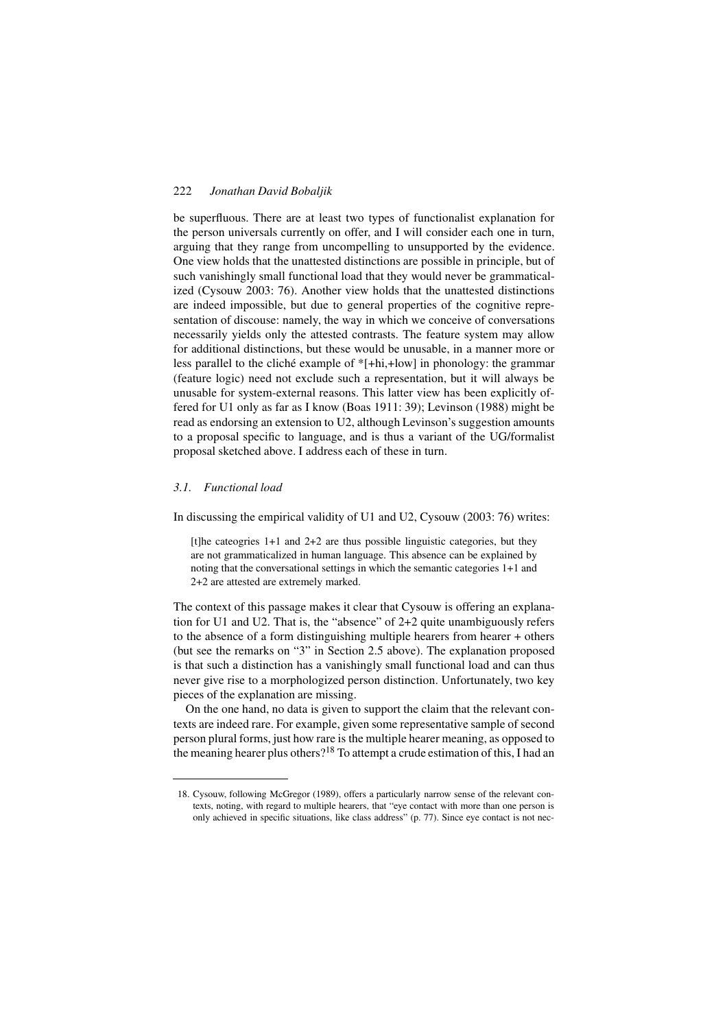be superfluous. There are at least two types of functionalist explanation for the person universals currently on offer, and I will consider each one in turn, arguing that they range from uncompelling to unsupported by the evidence. One view holds that the unattested distinctions are possible in principle, but of such vanishingly small functional load that they would never be grammaticalized (Cysouw 2003: 76). Another view holds that the unattested distinctions are indeed impossible, but due to general properties of the cognitive representation of discouse: namely, the way in which we conceive of conversations necessarily yields only the attested contrasts. The feature system may allow for additional distinctions, but these would be unusable, in a manner more or less parallel to the cliché example of \*[+hi,+low] in phonology: the grammar (feature logic) need not exclude such a representation, but it will always be unusable for system-external reasons. This latter view has been explicitly offered for U1 only as far as I know (Boas 1911: 39); Levinson (1988) might be read as endorsing an extension to U2, although Levinson's suggestion amounts to a proposal specific to language, and is thus a variant of the UG/formalist proposal sketched above. I address each of these in turn.

# *3.1. Functional load*

In discussing the empirical validity of U1 and U2, Cysouw (2003: 76) writes:

[t]he cateogries 1+1 and 2+2 are thus possible linguistic categories, but they are not grammaticalized in human language. This absence can be explained by noting that the conversational settings in which the semantic categories 1+1 and 2+2 are attested are extremely marked.

The context of this passage makes it clear that Cysouw is offering an explanation for U1 and U2. That is, the "absence" of 2+2 quite unambiguously refers to the absence of a form distinguishing multiple hearers from hearer + others (but see the remarks on "3" in Section 2.5 above). The explanation proposed is that such a distinction has a vanishingly small functional load and can thus never give rise to a morphologized person distinction. Unfortunately, two key pieces of the explanation are missing.

On the one hand, no data is given to support the claim that the relevant contexts are indeed rare. For example, given some representative sample of second person plural forms, just how rare is the multiple hearer meaning, as opposed to the meaning hearer plus others?<sup>18</sup> To attempt a crude estimation of this, I had an

<sup>18.</sup> Cysouw, following McGregor (1989), offers a particularly narrow sense of the relevant contexts, noting, with regard to multiple hearers, that "eye contact with more than one person is only achieved in specific situations, like class address" (p. 77). Since eye contact is not nec-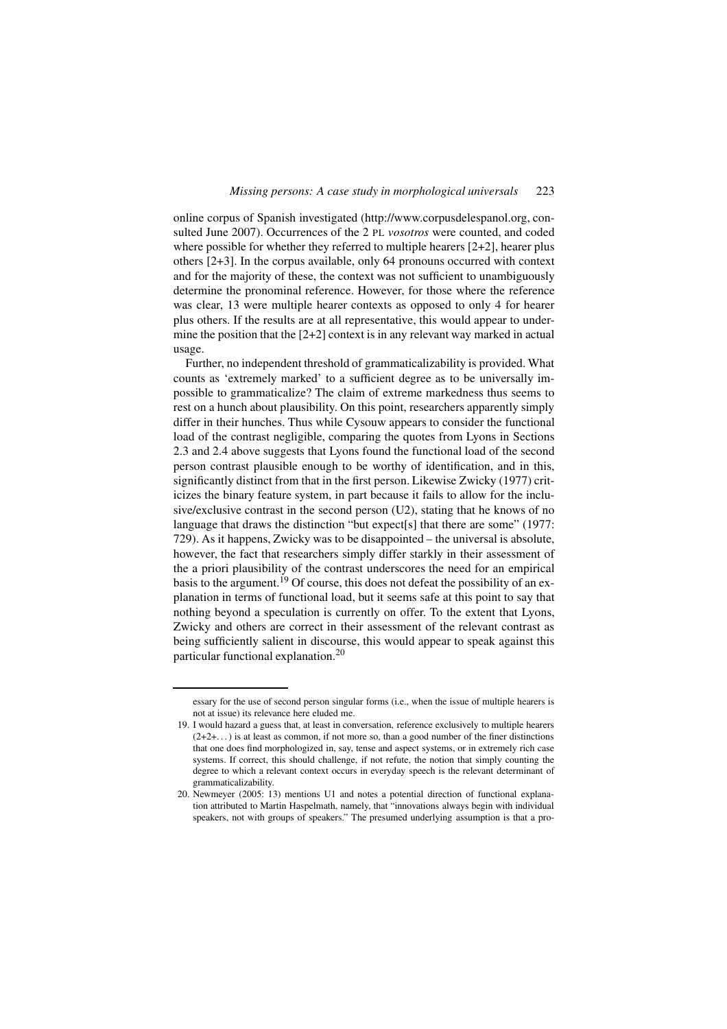online corpus of Spanish investigated (http://www.corpusdelespanol.org, consulted June 2007). Occurrences of the 2 PL *vosotros* were counted, and coded where possible for whether they referred to multiple hearers [2+2], hearer plus others [2+3]. In the corpus available, only 64 pronouns occurred with context and for the majority of these, the context was not sufficient to unambiguously determine the pronominal reference. However, for those where the reference was clear, 13 were multiple hearer contexts as opposed to only 4 for hearer plus others. If the results are at all representative, this would appear to undermine the position that the  $[2+2]$  context is in any relevant way marked in actual usage.

Further, no independent threshold of grammaticalizability is provided. What counts as 'extremely marked' to a sufficient degree as to be universally impossible to grammaticalize? The claim of extreme markedness thus seems to rest on a hunch about plausibility. On this point, researchers apparently simply differ in their hunches. Thus while Cysouw appears to consider the functional load of the contrast negligible, comparing the quotes from Lyons in Sections 2.3 and 2.4 above suggests that Lyons found the functional load of the second person contrast plausible enough to be worthy of identification, and in this, significantly distinct from that in the first person. Likewise Zwicky (1977) criticizes the binary feature system, in part because it fails to allow for the inclusive/exclusive contrast in the second person (U2), stating that he knows of no language that draws the distinction "but expect[s] that there are some" (1977: 729). As it happens, Zwicky was to be disappointed – the universal is absolute, however, the fact that researchers simply differ starkly in their assessment of the a priori plausibility of the contrast underscores the need for an empirical basis to the argument.<sup>19</sup> Of course, this does not defeat the possibility of an explanation in terms of functional load, but it seems safe at this point to say that nothing beyond a speculation is currently on offer. To the extent that Lyons, Zwicky and others are correct in their assessment of the relevant contrast as being sufficiently salient in discourse, this would appear to speak against this particular functional explanation.<sup>20</sup>

essary for the use of second person singular forms (i.e., when the issue of multiple hearers is not at issue) its relevance here eluded me.

<sup>19.</sup> I would hazard a guess that, at least in conversation, reference exclusively to multiple hearers  $(2+2+\dots)$  is at least as common, if not more so, than a good number of the finer distinctions that one does find morphologized in, say, tense and aspect systems, or in extremely rich case systems. If correct, this should challenge, if not refute, the notion that simply counting the degree to which a relevant context occurs in everyday speech is the relevant determinant of grammaticalizability.

<sup>20.</sup> Newmeyer (2005: 13) mentions U1 and notes a potential direction of functional explanation attributed to Martin Haspelmath, namely, that "innovations always begin with individual speakers, not with groups of speakers." The presumed underlying assumption is that a pro-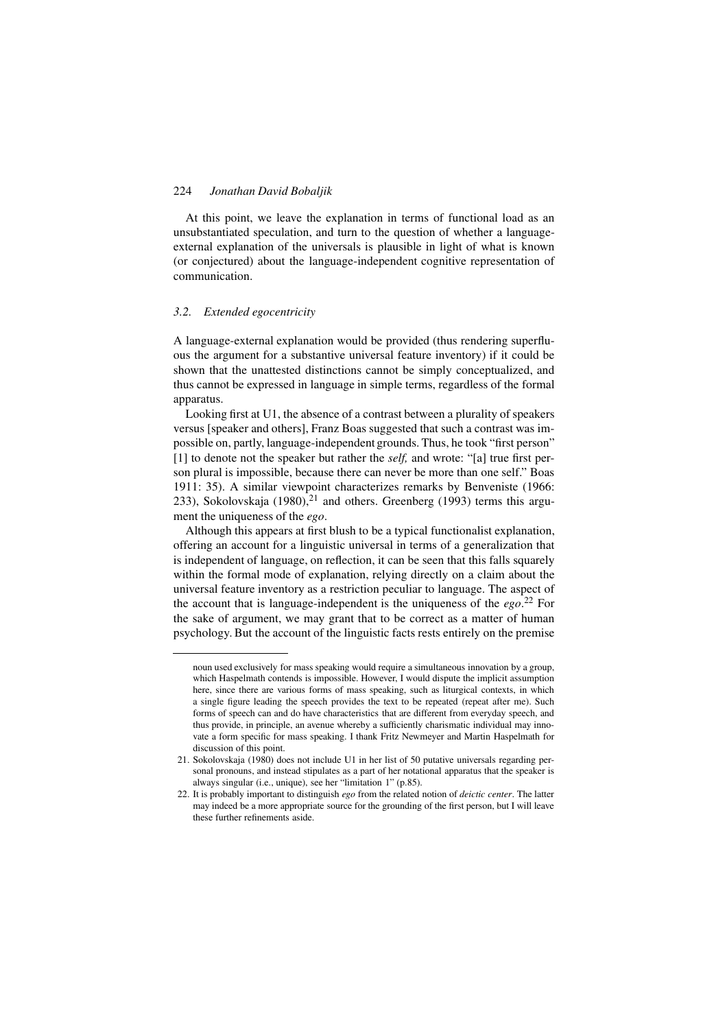At this point, we leave the explanation in terms of functional load as an unsubstantiated speculation, and turn to the question of whether a languageexternal explanation of the universals is plausible in light of what is known (or conjectured) about the language-independent cognitive representation of communication.

#### *3.2. Extended egocentricity*

A language-external explanation would be provided (thus rendering superfluous the argument for a substantive universal feature inventory) if it could be shown that the unattested distinctions cannot be simply conceptualized, and thus cannot be expressed in language in simple terms, regardless of the formal apparatus.

Looking first at U1, the absence of a contrast between a plurality of speakers versus [speaker and others], Franz Boas suggested that such a contrast was impossible on, partly, language-independent grounds. Thus, he took "first person" [1] to denote not the speaker but rather the *self,* and wrote: "[a] true first person plural is impossible, because there can never be more than one self." Boas 1911: 35). A similar viewpoint characterizes remarks by Benveniste (1966: 233), Sokolovskaja (1980), $^{21}$  and others. Greenberg (1993) terms this argument the uniqueness of the *ego*.

Although this appears at first blush to be a typical functionalist explanation, offering an account for a linguistic universal in terms of a generalization that is independent of language, on reflection, it can be seen that this falls squarely within the formal mode of explanation, relying directly on a claim about the universal feature inventory as a restriction peculiar to language. The aspect of the account that is language-independent is the uniqueness of the *ego*. <sup>22</sup> For the sake of argument, we may grant that to be correct as a matter of human psychology. But the account of the linguistic facts rests entirely on the premise

noun used exclusively for mass speaking would require a simultaneous innovation by a group, which Haspelmath contends is impossible. However, I would dispute the implicit assumption here, since there are various forms of mass speaking, such as liturgical contexts, in which a single figure leading the speech provides the text to be repeated (repeat after me). Such forms of speech can and do have characteristics that are different from everyday speech, and thus provide, in principle, an avenue whereby a sufficiently charismatic individual may innovate a form specific for mass speaking. I thank Fritz Newmeyer and Martin Haspelmath for discussion of this point.

<sup>21.</sup> Sokolovskaja (1980) does not include U1 in her list of 50 putative universals regarding personal pronouns, and instead stipulates as a part of her notational apparatus that the speaker is always singular (i.e., unique), see her "limitation 1" (p.85).

<sup>22.</sup> It is probably important to distinguish *ego* from the related notion of *deictic center*. The latter may indeed be a more appropriate source for the grounding of the first person, but I will leave these further refinements aside.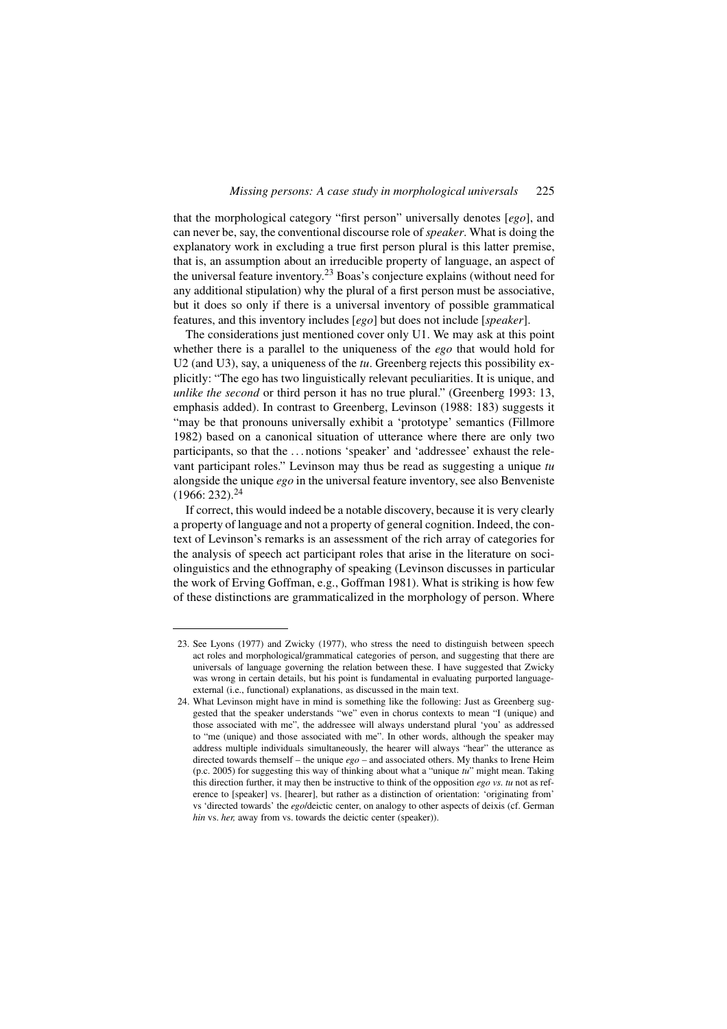that the morphological category "first person" universally denotes [*ego*], and can never be, say, the conventional discourse role of *speaker*. What is doing the explanatory work in excluding a true first person plural is this latter premise, that is, an assumption about an irreducible property of language, an aspect of the universal feature inventory.23 Boas's conjecture explains (without need for any additional stipulation) why the plural of a first person must be associative, but it does so only if there is a universal inventory of possible grammatical features, and this inventory includes [*ego*] but does not include [*speaker*].

The considerations just mentioned cover only U1. We may ask at this point whether there is a parallel to the uniqueness of the *ego* that would hold for U2 (and U3), say, a uniqueness of the *tu*. Greenberg rejects this possibility explicitly: "The ego has two linguistically relevant peculiarities. It is unique, and *unlike the second* or third person it has no true plural." (Greenberg 1993: 13, emphasis added). In contrast to Greenberg, Levinson (1988: 183) suggests it "may be that pronouns universally exhibit a 'prototype' semantics (Fillmore 1982) based on a canonical situation of utterance where there are only two participants, so that the . . . notions 'speaker' and 'addressee' exhaust the relevant participant roles." Levinson may thus be read as suggesting a unique *tu* alongside the unique *ego* in the universal feature inventory, see also Benveniste  $(1966: 232).^{24}$ 

If correct, this would indeed be a notable discovery, because it is very clearly a property of language and not a property of general cognition. Indeed, the context of Levinson's remarks is an assessment of the rich array of categories for the analysis of speech act participant roles that arise in the literature on sociolinguistics and the ethnography of speaking (Levinson discusses in particular the work of Erving Goffman, e.g., Goffman 1981). What is striking is how few of these distinctions are grammaticalized in the morphology of person. Where

<sup>23.</sup> See Lyons (1977) and Zwicky (1977), who stress the need to distinguish between speech act roles and morphological/grammatical categories of person, and suggesting that there are universals of language governing the relation between these. I have suggested that Zwicky was wrong in certain details, but his point is fundamental in evaluating purported languageexternal (i.e., functional) explanations, as discussed in the main text.

<sup>24.</sup> What Levinson might have in mind is something like the following: Just as Greenberg suggested that the speaker understands "we" even in chorus contexts to mean "I (unique) and those associated with me", the addressee will always understand plural 'you' as addressed to "me (unique) and those associated with me". In other words, although the speaker may address multiple individuals simultaneously, the hearer will always "hear" the utterance as directed towards themself – the unique *ego* – and associated others. My thanks to Irene Heim (p.c. 2005) for suggesting this way of thinking about what a "unique *tu*" might mean. Taking this direction further, it may then be instructive to think of the opposition *ego vs. tu* not as reference to [speaker] vs. [hearer], but rather as a distinction of orientation: 'originating from' vs 'directed towards' the *ego*/deictic center, on analogy to other aspects of deixis (cf. German *hin* vs. *her,* away from vs. towards the deictic center (speaker)).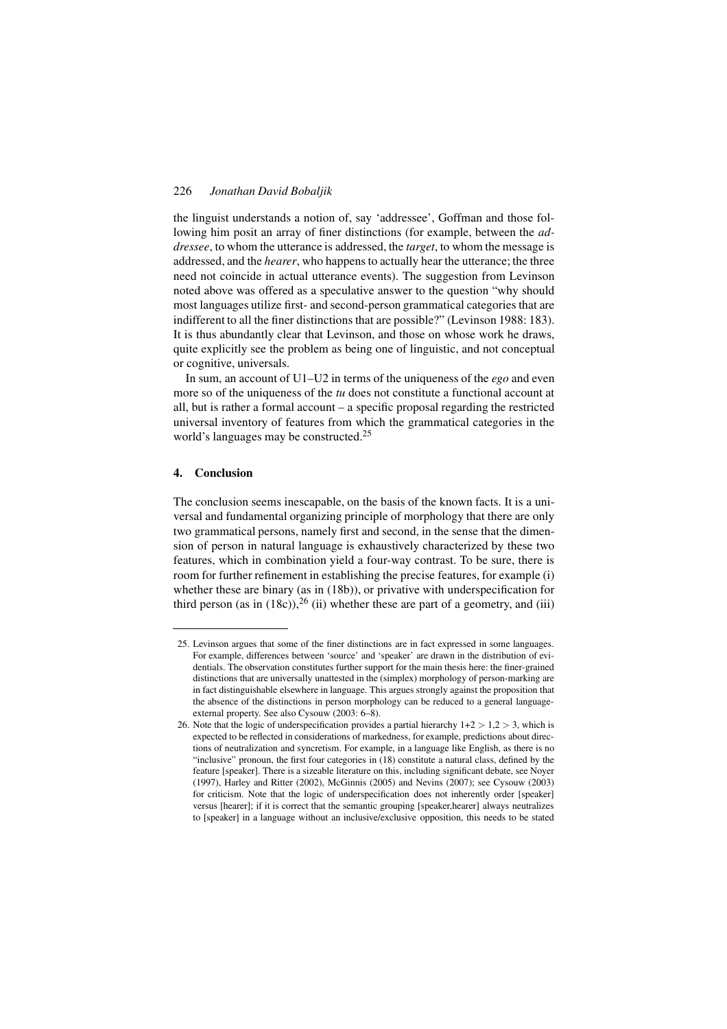the linguist understands a notion of, say 'addressee', Goffman and those following him posit an array of finer distinctions (for example, between the *addressee*, to whom the utterance is addressed, the *target*, to whom the message is addressed, and the *hearer*, who happens to actually hear the utterance; the three need not coincide in actual utterance events). The suggestion from Levinson noted above was offered as a speculative answer to the question "why should most languages utilize first- and second-person grammatical categories that are indifferent to all the finer distinctions that are possible?" (Levinson 1988: 183). It is thus abundantly clear that Levinson, and those on whose work he draws, quite explicitly see the problem as being one of linguistic, and not conceptual or cognitive, universals.

In sum, an account of U1–U2 in terms of the uniqueness of the *ego* and even more so of the uniqueness of the *tu* does not constitute a functional account at all, but is rather a formal account – a specific proposal regarding the restricted universal inventory of features from which the grammatical categories in the world's languages may be constructed.<sup>25</sup>

# 4. Conclusion

The conclusion seems inescapable, on the basis of the known facts. It is a universal and fundamental organizing principle of morphology that there are only two grammatical persons, namely first and second, in the sense that the dimension of person in natural language is exhaustively characterized by these two features, which in combination yield a four-way contrast. To be sure, there is room for further refinement in establishing the precise features, for example (i) whether these are binary (as in (18b)), or privative with underspecification for third person (as in  $(18c)$ ),<sup>26</sup> (ii) whether these are part of a geometry, and (iii)

<sup>25.</sup> Levinson argues that some of the finer distinctions are in fact expressed in some languages. For example, differences between 'source' and 'speaker' are drawn in the distribution of evidentials. The observation constitutes further support for the main thesis here: the finer-grained distinctions that are universally unattested in the (simplex) morphology of person-marking are in fact distinguishable elsewhere in language. This argues strongly against the proposition that the absence of the distinctions in person morphology can be reduced to a general languageexternal property. See also Cysouw (2003: 6–8).

<sup>26.</sup> Note that the logic of underspecification provides a partial hierarchy  $1+2 > 1,2 > 3$ , which is expected to be reflected in considerations of markedness, for example, predictions about directions of neutralization and syncretism. For example, in a language like English, as there is no "inclusive" pronoun, the first four categories in (18) constitute a natural class, defined by the feature [speaker]. There is a sizeable literature on this, including significant debate, see Noyer (1997), Harley and Ritter (2002), McGinnis (2005) and Nevins (2007); see Cysouw (2003) for criticism. Note that the logic of underspecification does not inherently order [speaker] versus [hearer]; if it is correct that the semantic grouping [speaker,hearer] always neutralizes to [speaker] in a language without an inclusive/exclusive opposition, this needs to be stated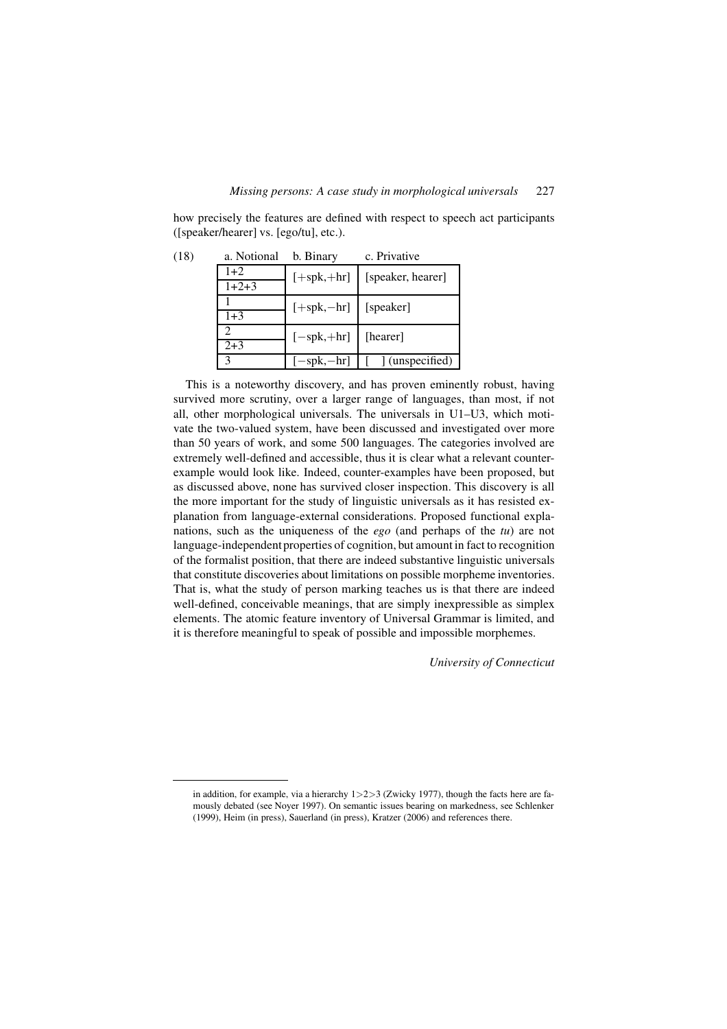how precisely the features are defined with respect to speech act participants ([speaker/hearer] vs. [ego/tu], etc.).

| (18) | a. Notional | b. Binary                          | c. Privative      |
|------|-------------|------------------------------------|-------------------|
|      | $1+2$       | $[+spk,+hr]$                       | [speaker, hearer] |
|      | $1+2+3$     |                                    |                   |
|      | $1 + 3$     | $[+{\rm spk},-{\rm hr}]$ [speaker] |                   |
|      |             | $[-\text{spk}, +\text{hr}]$        | [hearer]          |
|      | $2 + 3$     |                                    |                   |
|      | 3           | $-spk,-hr$                         | (unspecified)     |

This is a noteworthy discovery, and has proven eminently robust, having survived more scrutiny, over a larger range of languages, than most, if not all, other morphological universals. The universals in U1–U3, which motivate the two-valued system, have been discussed and investigated over more than 50 years of work, and some 500 languages. The categories involved are extremely well-defined and accessible, thus it is clear what a relevant counterexample would look like. Indeed, counter-examples have been proposed, but as discussed above, none has survived closer inspection. This discovery is all the more important for the study of linguistic universals as it has resisted explanation from language-external considerations. Proposed functional explanations, such as the uniqueness of the *ego* (and perhaps of the *tu*) are not language-independent properties of cognition, but amount in fact to recognition of the formalist position, that there are indeed substantive linguistic universals that constitute discoveries about limitations on possible morpheme inventories. That is, what the study of person marking teaches us is that there are indeed well-defined, conceivable meanings, that are simply inexpressible as simplex elements. The atomic feature inventory of Universal Grammar is limited, and it is therefore meaningful to speak of possible and impossible morphemes.

*University of Connecticut*

in addition, for example, via a hierarchy  $1>2>3$  (Zwicky 1977), though the facts here are famously debated (see Noyer 1997). On semantic issues bearing on markedness, see Schlenker (1999), Heim (in press), Sauerland (in press), Kratzer (2006) and references there.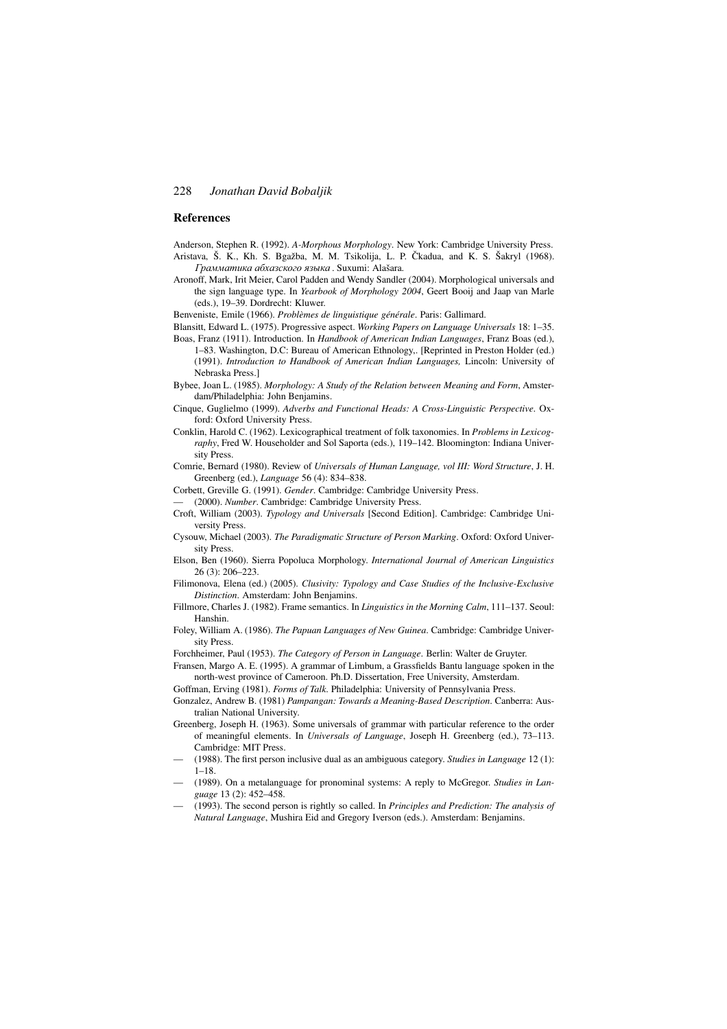#### References

Anderson, Stephen R. (1992). *A-Morphous Morphology*. New York: Cambridge University Press. Aristava, Š. K., Kh. S. Bgažba, M. M. Tsikolija, L. P. Čkadua, and K. S. Šakryl (1968). *.*<br>Грамматика абхазского языка . Suxumi: Alašara.

- Aronoff, Mark, Irit Meier, Carol Padden and Wendy Sandler (2004). Morphological universals and the sign language type. In *Yearbook of Morphology 2004*, Geert Booij and Jaap van Marle (eds.), 19–39. Dordrecht: Kluwer.
- Benveniste, Emile (1966). *Problèmes de linguistique générale*. Paris: Gallimard.

Blansitt, Edward L. (1975). Progressive aspect. *Working Papers on Language Universals* 18: 1–35.

- Boas, Franz (1911). Introduction. In *Handbook of American Indian Languages*, Franz Boas (ed.), 1–83. Washington, D.C: Bureau of American Ethnology,. [Reprinted in Preston Holder (ed.) (1991). *Introduction to Handbook of American Indian Languages,* Lincoln: University of Nebraska Press.]
- Bybee, Joan L. (1985). *Morphology: A Study of the Relation between Meaning and Form*, Amsterdam/Philadelphia: John Benjamins.
- Cinque, Guglielmo (1999). *Adverbs and Functional Heads: A Cross-Linguistic Perspective*. Oxford: Oxford University Press.
- Conklin, Harold C. (1962). Lexicographical treatment of folk taxonomies. In *Problems in Lexicography*, Fred W. Householder and Sol Saporta (eds.), 119–142. Bloomington: Indiana University Press.
- Comrie, Bernard (1980). Review of *Universals of Human Language, vol III: Word Structure*, J. H. Greenberg (ed.), *Language* 56 (4): 834–838.
- Corbett, Greville G. (1991). *Gender*. Cambridge: Cambridge University Press.
- (2000). *Number*. Cambridge: Cambridge University Press.
- Croft, William (2003). *Typology and Universals* [Second Edition]. Cambridge: Cambridge University Press.
- Cysouw, Michael (2003). *The Paradigmatic Structure of Person Marking*. Oxford: Oxford University Press.
- Elson, Ben (1960). Sierra Popoluca Morphology. *International Journal of American Linguistics* 26 (3): 206–223.
- Filimonova, Elena (ed.) (2005). *Clusivity: Typology and Case Studies of the Inclusive-Exclusive Distinction*. Amsterdam: John Benjamins.
- Fillmore, Charles J. (1982). Frame semantics. In *Linguistics in the Morning Calm*, 111–137. Seoul: Hanshin.
- Foley, William A. (1986). *The Papuan Languages of New Guinea*. Cambridge: Cambridge University Press.

Forchheimer, Paul (1953). *The Category of Person in Language*. Berlin: Walter de Gruyter.

- Fransen, Margo A. E. (1995). A grammar of Limbum, a Grassfields Bantu language spoken in the north-west province of Cameroon. Ph.D. Dissertation, Free University, Amsterdam.
- Goffman, Erving (1981). *Forms of Talk*. Philadelphia: University of Pennsylvania Press.
- Gonzalez, Andrew B. (1981) *Pampangan: Towards a Meaning-Based Description*. Canberra: Australian National University.
- Greenberg, Joseph H. (1963). Some universals of grammar with particular reference to the order of meaningful elements. In *Universals of Language*, Joseph H. Greenberg (ed.), 73–113. Cambridge: MIT Press.
- (1988). The first person inclusive dual as an ambiguous category. *Studies in Language* 12 (1): 1–18.
- (1989). On a metalanguage for pronominal systems: A reply to McGregor. *Studies in Language* 13 (2): 452–458.
- (1993). The second person is rightly so called. In *Principles and Prediction: The analysis of Natural Language*, Mushira Eid and Gregory Iverson (eds.). Amsterdam: Benjamins.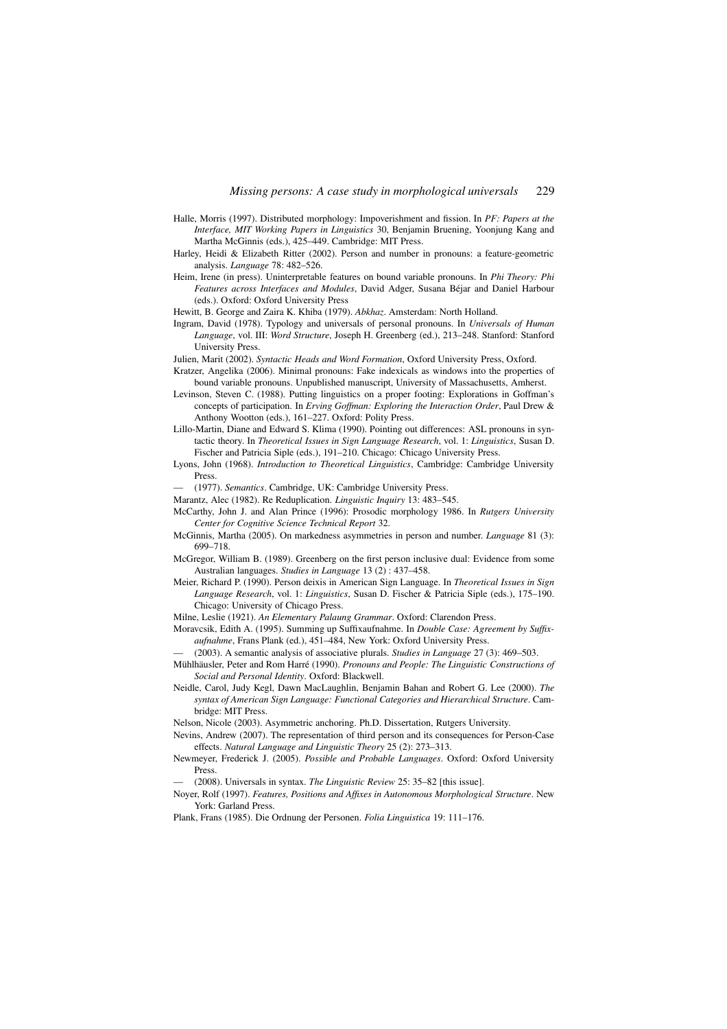- Halle, Morris (1997). Distributed morphology: Impoverishment and fission. In *PF: Papers at the Interface, MIT Working Papers in Linguistics* 30, Benjamin Bruening, Yoonjung Kang and Martha McGinnis (eds.), 425–449. Cambridge: MIT Press.
- Harley, Heidi & Elizabeth Ritter (2002). Person and number in pronouns: a feature-geometric analysis. *Language* 78: 482–526.
- Heim, Irene (in press). Uninterpretable features on bound variable pronouns. In *Phi Theory: Phi Features across Interfaces and Modules*, David Adger, Susana Béjar and Daniel Harbour (eds.). Oxford: Oxford University Press

Hewitt, B. George and Zaira K. Khiba (1979). *Abkhaz*. Amsterdam: North Holland.

Ingram, David (1978). Typology and universals of personal pronouns. In *Universals of Human Language*, vol. III: *Word Structure*, Joseph H. Greenberg (ed.), 213–248. Stanford: Stanford University Press.

Julien, Marit (2002). *Syntactic Heads and Word Formation*, Oxford University Press, Oxford.

- Kratzer, Angelika (2006). Minimal pronouns: Fake indexicals as windows into the properties of bound variable pronouns. Unpublished manuscript, University of Massachusetts, Amherst.
- Levinson, Steven C. (1988). Putting linguistics on a proper footing: Explorations in Goffman's concepts of participation. In *Erving Goffman: Exploring the Interaction Order*, Paul Drew & Anthony Wootton (eds.), 161–227. Oxford: Polity Press.
- Lillo-Martin, Diane and Edward S. Klima (1990). Pointing out differences: ASL pronouns in syntactic theory. In *Theoretical Issues in Sign Language Research*, vol. 1: *Linguistics*, Susan D. Fischer and Patricia Siple (eds.), 191–210. Chicago: Chicago University Press.
- Lyons, John (1968). *Introduction to Theoretical Linguistics*, Cambridge: Cambridge University Press.
- (1977). *Semantics*. Cambridge, UK: Cambridge University Press.
- Marantz, Alec (1982). Re Reduplication. *Linguistic Inquiry* 13: 483–545.
- McCarthy, John J. and Alan Prince (1996): Prosodic morphology 1986. In *Rutgers University Center for Cognitive Science Technical Report* 32.
- McGinnis, Martha (2005). On markedness asymmetries in person and number. *Language* 81 (3): 699–718.
- McGregor, William B. (1989). Greenberg on the first person inclusive dual: Evidence from some Australian languages. *Studies in Language* 13 (2) : 437–458.
- Meier, Richard P. (1990). Person deixis in American Sign Language. In *Theoretical Issues in Sign Language Research*, vol. 1: *Linguistics*, Susan D. Fischer & Patricia Siple (eds.), 175–190. Chicago: University of Chicago Press.

Milne, Leslie (1921). *An Elementary Palaung Grammar*. Oxford: Clarendon Press.

- Moravcsik, Edith A. (1995). Summing up Suffixaufnahme. In *Double Case: Agreement by Suffixaufnahme*, Frans Plank (ed.), 451–484, New York: Oxford University Press.
- (2003). A semantic analysis of associative plurals. *Studies in Language* 27 (3): 469–503.
- Mühlhäusler, Peter and Rom Harré (1990). *Pronouns and People: The Linguistic Constructions of Social and Personal Identity*. Oxford: Blackwell.

Neidle, Carol, Judy Kegl, Dawn MacLaughlin, Benjamin Bahan and Robert G. Lee (2000). *The syntax of American Sign Language: Functional Categories and Hierarchical Structure*. Cambridge: MIT Press.

Nelson, Nicole (2003). Asymmetric anchoring. Ph.D. Dissertation, Rutgers University.

Nevins, Andrew (2007). The representation of third person and its consequences for Person-Case effects. *Natural Language and Linguistic Theory* 25 (2): 273–313.

Newmeyer, Frederick J. (2005). *Possible and Probable Languages*. Oxford: Oxford University Press.

— (2008). Universals in syntax. *The Linguistic Review* 25: 35–82 [this issue].

- Noyer, Rolf (1997). *Features, Positions and Affixes in Autonomous Morphological Structure*. New York: Garland Press.
- Plank, Frans (1985). Die Ordnung der Personen. *Folia Linguistica* 19: 111–176.